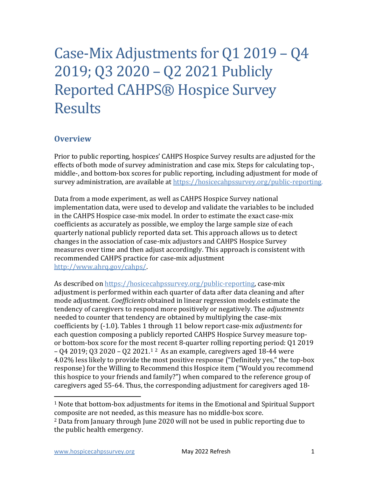# Case-Mix Adjustments for Q1 2019 – Q4 2019; Q3 2020 – Q2 2021 Publicly Reported CAHPS® Hospice Survey Results

### **Overview**

Prior to public reporting, hospices' CAHPS Hospice Survey results are adjusted for the effects of both mode of survey administration and case mix. Steps for calculating top-, middle-, and bottom-box scores for public reporting, including adjustment for mode of survey administration, are available at [https://hosicecahpssurvey.org/public-reporting.](https://hospicecahpssurvey.org/en/public-reporting/scoring-and-analysis/)

Data from a mode experiment, as well as CAHPS Hospice Survey national implementation data, were used to develop and validate the variables to be included in the CAHPS Hospice case-mix model. In order to estimate the exact case-mix coefficients as accurately as possible, we employ the large sample size of each quarterly national publicly reported data set. This approach allows us to detect changes in the association of case-mix adjustors and CAHPS Hospice Survey measures over time and then adjust accordingly. This approach is consistent with recommended CAHPS practice for case-mix adjustment [http://www.ahrq.gov/cahps/.](https://www.ahrq.gov/cahps/) 

As described on [https://hosicecahpssurvey.org/public-reporting,](https://hospicecahpssurvey.org/en/public-reporting/scoring-and-analysis/) case-mix adjustment is performed within each quarter of data after data cleaning and after mode adjustment. *Coefficients* obtained in linear regression models estimate the tendency of caregivers to respond more positively or negatively. The *adjustments* needed to counter that tendency are obtained by multiplying the case-mix coefficients by (-1.0). Tables 1 through 11 below report case-mix *adjustments* for each question composing a publicly reported CAHPS Hospice Survey measure topor bottom-box score for the most recent 8-quarter rolling reporting period: Q1 2019  $-$  04 20[1](#page-0-0)9; 03 2020 – 0[2](#page-0-1) 2021.<sup>12</sup> As an example, caregivers aged 18-44 were 4.02% less likely to provide the most positive response ("Definitely yes," the top-box response) for the Willing to Recommend this Hospice item ("Would you recommend this hospice to your friends and family?") when compared to the reference group of caregivers aged 55-64. Thus, the corresponding adjustment for caregivers aged 18-

<span id="page-0-0"></span><sup>1</sup> Note that bottom-box adjustments for items in the Emotional and Spiritual Support composite are not needed, as this measure has no middle-box score.

<span id="page-0-1"></span><sup>2</sup> Data from January through June 2020 will not be used in public reporting due to the public health emergency.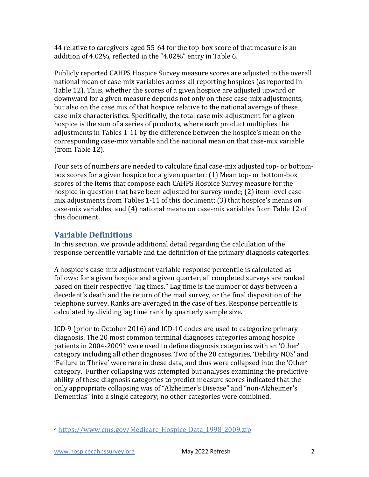44 relative to caregivers aged 55-64 for the top-box score of that measure is an addition of 4.02%, reflected in the "4.02%" entry in Table 6.

Publicly reported CAHPS Hospice Survey measure scores are adjusted to the overall national mean of case-mix variables across all reporting hospices (as reported in Table 12). Thus, whether the scores of a given hospice are adjusted upward or downward for a given measure depends not only on these case-mix adjustments, but also on the case mix of that hospice relative to the national average of these case-mix characteristics. Specifically, the total case mix-adjustment for a given hospice is the sum of a series of products, where each product multiplies the adjustments in Tables 1-11 by the difference between the hospice's mean on the corresponding case-mix variable and the national mean on that case-mix variable (from Table 12).

Four sets of numbers are needed to calculate final case-mix adjusted top- or bottombox scores for a given hospice for a given quarter: (1) Mean top- or bottom-box scores of the items that compose each CAHPS Hospice Survey measure for the hospice in question that have been adjusted for survey mode; (2) item-level casemix adjustments from Tables 1-11 of this document; (3) that hospice's means on case-mix variables; and (4) national means on case-mix variables from Table 12 of this document.

## **Variable Definitions**

In this section, we provide additional detail regarding the calculation of the response percentile variable and the definition of the primary diagnosis categories.

A hospice's case-mix adjustment variable response percentile is calculated as follows: for a given hospice and a given quarter, all completed surveys are ranked based on their respective "lag times." Lag time is the number of days between a decedent's death and the return of the mail survey, or the final disposition of the telephone survey. Ranks are averaged in the case of ties. Response percentile is calculated by dividing lag time rank by quarterly sample size.

ICD-9 (prior to October 2016) and ICD-10 codes are used to categorize primary diagnosis. The 20 most common terminal diagnoses categories among hospice patients in 2004-2009[3](#page-1-0) were used to define diagnosis categories with an 'Other' category including all other diagnoses. Two of the 20 categories, 'Debility NOS' and 'Failure to Thrive' were rare in these data, and thus were collapsed into the 'Other' category. Further collapsing was attempted but analyses examining the predictive ability of these diagnosis categories to predict measure scores indicated that the only appropriate collapsing was of "Alzheimer's Disease" and "non-Alzheimer's Dementias" into a single category; no other categories were combined.

<span id="page-1-0"></span><sup>3</sup> [https://www.cms.gov/Medicare\\_Hospice\\_Data\\_1998\\_2009.zip](https://www.cms.gov/Medicare/Medicare-Fee-for-Service-Payment/Hospice/Downloads/Medicare_Hospice_Data_1998_2009.zip)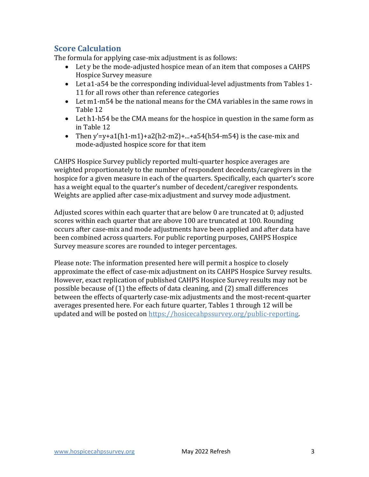## **Score Calculation**

The formula for applying case-mix adjustment is as follows:

- Let y be the mode-adjusted hospice mean of an item that composes a CAHPS Hospice Survey measure
- Let a1-a54 be the corresponding individual-level adjustments from Tables 1- 11 for all rows other than reference categories
- Let m1-m54 be the national means for the CMA variables in the same rows in Table 12
- Let h1-h54 be the CMA means for the hospice in question in the same form as in Table 12
- Then y'=y+a1(h1-m1)+a2(h2-m2)+...+a54(h54-m54) is the case-mix and mode-adjusted hospice score for that item

CAHPS Hospice Survey publicly reported multi-quarter hospice averages are weighted proportionately to the number of respondent decedents/caregivers in the hospice for a given measure in each of the quarters. Specifically, each quarter's score has a weight equal to the quarter's number of decedent/caregiver respondents. Weights are applied after case-mix adjustment and survey mode adjustment.

Adjusted scores within each quarter that are below 0 are truncated at 0; adjusted scores within each quarter that are above 100 are truncated at 100. Rounding occurs after case-mix and mode adjustments have been applied and after data have been combined across quarters. For public reporting purposes, CAHPS Hospice Survey measure scores are rounded to integer percentages.

Please note: The information presented here will permit a hospice to closely approximate the effect of case-mix adjustment on its CAHPS Hospice Survey results. However, exact replication of published CAHPS Hospice Survey results may not be possible because of (1) the effects of data cleaning, and (2) small differences between the effects of quarterly case-mix adjustments and the most-recent-quarter averages presented here. For each future quarter, Tables 1 through 12 will be updated and will be posted on [https://hosicecahpssurvey.org/public-reporting.](https://hospicecahpssurvey.org/en/public-reporting/scoring-and-analysis/)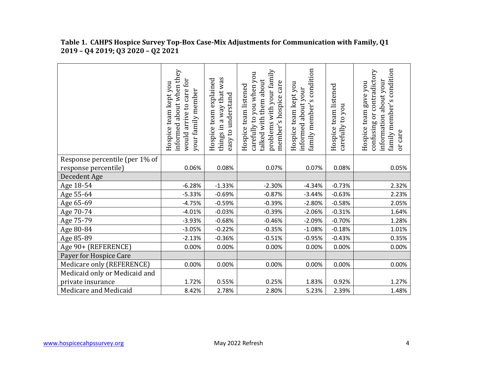|                                | informed about when they<br>would arrive to care for<br>Hospice team kept you<br>your family member | things in a way that was<br>Hospice team explained<br>easy to understand | problems with your family<br>carefully to you when you<br>talked with them about<br>member's hospice care<br>Hospice team listened | condition<br>Hospice team kept you<br>informed about your<br>family member's | Hospice team listened<br>carefully to you | family member's condition<br>contradictory<br>information about your<br>gave you<br>Hospice team<br>ðr<br>confusing<br>or care |
|--------------------------------|-----------------------------------------------------------------------------------------------------|--------------------------------------------------------------------------|------------------------------------------------------------------------------------------------------------------------------------|------------------------------------------------------------------------------|-------------------------------------------|--------------------------------------------------------------------------------------------------------------------------------|
| Response percentile (per 1% of |                                                                                                     |                                                                          |                                                                                                                                    |                                                                              |                                           |                                                                                                                                |
| response percentile)           | 0.06%                                                                                               | 0.08%                                                                    | 0.07%                                                                                                                              | 0.07%                                                                        | 0.08%                                     | 0.05%                                                                                                                          |
| Decedent Age                   |                                                                                                     |                                                                          |                                                                                                                                    |                                                                              |                                           |                                                                                                                                |
| Age 18-54                      | $-6.28%$                                                                                            | $-1.33%$                                                                 | $-2.30%$                                                                                                                           | $-4.34%$                                                                     | $-0.73%$                                  | 2.32%                                                                                                                          |
| Age 55-64                      | $-5.33%$                                                                                            | $-0.69%$                                                                 | $-0.87%$                                                                                                                           | $-3.44%$                                                                     | $-0.63%$                                  | 2.23%                                                                                                                          |
| Age 65-69                      | $-4.75%$                                                                                            | $-0.59%$                                                                 | $-0.39%$                                                                                                                           | $-2.80%$                                                                     | $-0.58%$                                  | 2.05%                                                                                                                          |
| Age 70-74                      | $-4.01%$                                                                                            | $-0.03%$                                                                 | $-0.39%$                                                                                                                           | $-2.06%$                                                                     | $-0.31%$                                  | 1.64%                                                                                                                          |
| Age 75-79                      | $-3.93%$                                                                                            | $-0.68%$                                                                 | $-0.46%$                                                                                                                           | $-2.09%$                                                                     | $-0.70%$                                  | 1.28%                                                                                                                          |
| Age 80-84                      | $-3.05%$                                                                                            | $-0.22%$                                                                 | $-0.35%$                                                                                                                           | $-1.08%$                                                                     | $-0.18%$                                  | 1.01%                                                                                                                          |
| Age 85-89                      | $-2.13%$                                                                                            | $-0.36%$                                                                 | $-0.51%$                                                                                                                           | $-0.95%$                                                                     | $-0.43%$                                  | 0.35%                                                                                                                          |
| Age 90+ (REFERENCE)            | 0.00%                                                                                               | 0.00%                                                                    | 0.00%                                                                                                                              | 0.00%                                                                        | 0.00%                                     | 0.00%                                                                                                                          |
| Payer for Hospice Care         |                                                                                                     |                                                                          |                                                                                                                                    |                                                                              |                                           |                                                                                                                                |
| Medicare only (REFERENCE)      | 0.00%                                                                                               | 0.00%                                                                    | 0.00%                                                                                                                              | 0.00%                                                                        | 0.00%                                     | 0.00%                                                                                                                          |
| Medicaid only or Medicaid and  |                                                                                                     |                                                                          |                                                                                                                                    |                                                                              |                                           |                                                                                                                                |
| private insurance              | 1.72%                                                                                               | 0.55%                                                                    | 0.25%                                                                                                                              | 1.83%                                                                        | 0.92%                                     | 1.27%                                                                                                                          |
| Medicare and Medicaid          | 8.42%                                                                                               | 2.78%                                                                    | 2.80%                                                                                                                              | 5.23%                                                                        | 2.39%                                     | 1.48%                                                                                                                          |

#### **Table 1. CAHPS Hospice Survey Top-Box Case-Mix Adjustments for Communication with Family, Q1 2019 – Q4 2019; Q3 2020 – Q2 2021**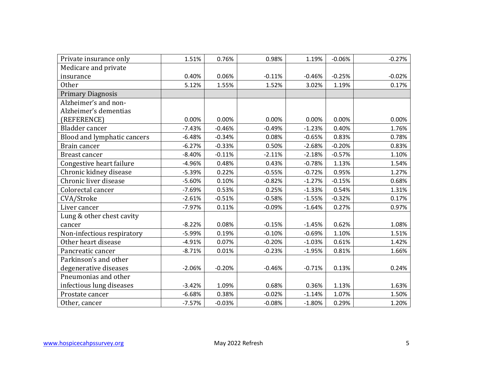| Private insurance only      | 1.51%    | 0.76%    | 0.98%    | 1.19%    | $-0.06%$ | $-0.27%$ |
|-----------------------------|----------|----------|----------|----------|----------|----------|
| Medicare and private        |          |          |          |          |          |          |
| insurance                   | 0.40%    | 0.06%    | $-0.11%$ | $-0.46%$ | $-0.25%$ | $-0.02%$ |
| <b>Other</b>                | 5.12%    | 1.55%    | 1.52%    | 3.02%    | 1.19%    | 0.17%    |
| <b>Primary Diagnosis</b>    |          |          |          |          |          |          |
| Alzheimer's and non-        |          |          |          |          |          |          |
| Alzheimer's dementias       |          |          |          |          |          |          |
| (REFERENCE)                 | 0.00%    | 0.00%    | 0.00%    | 0.00%    | 0.00%    | 0.00%    |
| Bladder cancer              | $-7.43%$ | $-0.46%$ | $-0.49%$ | $-1.23%$ | 0.40%    | 1.76%    |
| Blood and lymphatic cancers | $-6.48%$ | $-0.34%$ | 0.08%    | $-0.65%$ | 0.83%    | 0.78%    |
| Brain cancer                | $-6.27%$ | $-0.33%$ | 0.50%    | $-2.68%$ | $-0.20%$ | 0.83%    |
| Breast cancer               | $-8.40%$ | $-0.11%$ | $-2.11%$ | $-2.18%$ | $-0.57%$ | 1.10%    |
| Congestive heart failure    | $-4.96%$ | 0.48%    | 0.43%    | $-0.78%$ | 1.13%    | 1.54%    |
| Chronic kidney disease      | $-5.39%$ | 0.22%    | $-0.55%$ | $-0.72%$ | 0.95%    | 1.27%    |
| Chronic liver disease       | $-5.60%$ | 0.10%    | $-0.82%$ | $-1.27%$ | $-0.15%$ | 0.68%    |
| Colorectal cancer           | $-7.69%$ | 0.53%    | 0.25%    | $-1.33%$ | 0.54%    | 1.31%    |
| CVA/Stroke                  | $-2.61%$ | $-0.51%$ | $-0.58%$ | $-1.55%$ | $-0.32%$ | 0.17%    |
| Liver cancer                | $-7.97%$ | 0.11%    | $-0.09%$ | $-1.64%$ | 0.27%    | 0.97%    |
| Lung & other chest cavity   |          |          |          |          |          |          |
| cancer                      | $-8.22%$ | 0.08%    | $-0.15%$ | $-1.45%$ | 0.62%    | 1.08%    |
| Non-infectious respiratory  | $-5.99%$ | 0.19%    | $-0.10%$ | $-0.69%$ | 1.10%    | 1.51%    |
| Other heart disease         | $-4.91%$ | 0.07%    | $-0.20%$ | $-1.03%$ | 0.61%    | 1.42%    |
| Pancreatic cancer           | $-8.71%$ | 0.01%    | $-0.23%$ | $-1.95%$ | 0.81%    | 1.66%    |
| Parkinson's and other       |          |          |          |          |          |          |
| degenerative diseases       | $-2.06%$ | $-0.20%$ | $-0.46%$ | $-0.71%$ | 0.13%    | 0.24%    |
| Pneumonias and other        |          |          |          |          |          |          |
| infectious lung diseases    | $-3.42%$ | 1.09%    | 0.68%    | 0.36%    | 1.13%    | 1.63%    |
| Prostate cancer             | $-6.68%$ | 0.38%    | $-0.02%$ | $-1.14%$ | 1.07%    | 1.50%    |
| Other, cancer               | $-7.57%$ | $-0.03%$ | $-0.08%$ | $-1.80%$ | 0.29%    | 1.20%    |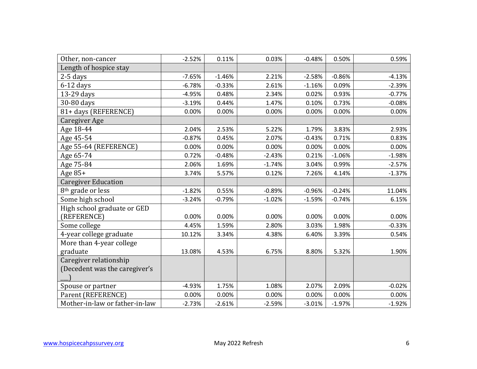| Other, non-cancer              | $-2.52%$ | 0.11%    | 0.03%    | $-0.48%$ | 0.50%    | 0.59%    |
|--------------------------------|----------|----------|----------|----------|----------|----------|
| Length of hospice stay         |          |          |          |          |          |          |
| $2-5$ days                     | $-7.65%$ | $-1.46%$ | 2.21%    | $-2.58%$ | $-0.86%$ | $-4.13%$ |
| $6-12$ days                    | $-6.78%$ | $-0.33%$ | 2.61%    | $-1.16%$ | 0.09%    | $-2.39%$ |
| 13-29 days                     | $-4.95%$ | 0.48%    | 2.34%    | 0.02%    | 0.93%    | $-0.77%$ |
| 30-80 days                     | $-3.19%$ | 0.44%    | 1.47%    | 0.10%    | 0.73%    | $-0.08%$ |
| 81+ days (REFERENCE)           | 0.00%    | 0.00%    | 0.00%    | 0.00%    | 0.00%    | 0.00%    |
| Caregiver Age                  |          |          |          |          |          |          |
| Age 18-44                      | 2.04%    | 2.53%    | 5.22%    | 1.79%    | 3.83%    | 2.93%    |
| Age 45-54                      | $-0.87%$ | 0.45%    | 2.07%    | $-0.43%$ | 0.71%    | 0.83%    |
| Age 55-64 (REFERENCE)          | 0.00%    | 0.00%    | 0.00%    | 0.00%    | 0.00%    | 0.00%    |
| Age 65-74                      | 0.72%    | $-0.48%$ | $-2.43%$ | 0.21%    | $-1.06%$ | $-1.98%$ |
| Age 75-84                      | 2.06%    | 1.69%    | $-1.74%$ | 3.04%    | 0.99%    | $-2.57%$ |
| Age $85+$                      | 3.74%    | 5.57%    | 0.12%    | 7.26%    | 4.14%    | $-1.37%$ |
| <b>Caregiver Education</b>     |          |          |          |          |          |          |
| 8 <sup>th</sup> grade or less  | $-1.82%$ | 0.55%    | $-0.89%$ | $-0.96%$ | $-0.24%$ | 11.04%   |
| Some high school               | $-3.24%$ | $-0.79%$ | $-1.02%$ | $-1.59%$ | $-0.74%$ | 6.15%    |
| High school graduate or GED    |          |          |          |          |          |          |
| (REFERENCE)                    | 0.00%    | 0.00%    | 0.00%    | 0.00%    | 0.00%    | 0.00%    |
| Some college                   | 4.45%    | 1.59%    | 2.80%    | 3.03%    | 1.98%    | $-0.33%$ |
| 4-year college graduate        | 10.12%   | 3.34%    | 4.38%    | 6.40%    | 3.39%    | 0.54%    |
| More than 4-year college       |          |          |          |          |          |          |
| graduate                       | 13.08%   | 4.53%    | 6.75%    | 8.80%    | 5.32%    | 1.90%    |
| Caregiver relationship         |          |          |          |          |          |          |
| (Decedent was the caregiver's  |          |          |          |          |          |          |
|                                |          |          |          |          |          |          |
| Spouse or partner              | $-4.93%$ | 1.75%    | 1.08%    | 2.07%    | 2.09%    | $-0.02%$ |
| Parent (REFERENCE)             | 0.00%    | 0.00%    | 0.00%    | 0.00%    | 0.00%    | 0.00%    |
| Mother-in-law or father-in-law | $-2.73%$ | $-2.61%$ | $-2.59%$ | $-3.01%$ | $-1.97%$ | $-1.92%$ |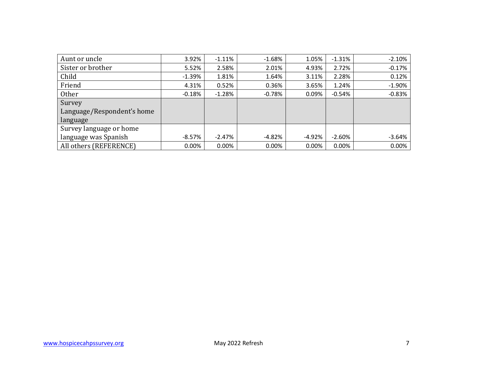| Aunt or uncle              | 3.92%    | $-1.11%$  | $-1.68%$ | 1.05%    | $-1.31%$ | $-2.10%$ |
|----------------------------|----------|-----------|----------|----------|----------|----------|
| Sister or brother          | 5.52%    | 2.58%     | 2.01%    | 4.93%    | 2.72%    | $-0.17%$ |
| Child                      | $-1.39%$ | 1.81%     | 1.64%    | 3.11%    | 2.28%    | 0.12%    |
| Friend                     | 4.31%    | 0.52%     | 0.36%    | 3.65%    | 1.24%    | $-1.90%$ |
| <b>Other</b>               | $-0.18%$ | $-1.28%$  | $-0.78%$ | 0.09%    | $-0.54%$ | $-0.83%$ |
| Survey                     |          |           |          |          |          |          |
| Language/Respondent's home |          |           |          |          |          |          |
| language                   |          |           |          |          |          |          |
| Survey language or home    |          |           |          |          |          |          |
| language was Spanish       | $-8.57%$ | $-2.47\%$ | $-4.82%$ | $-4.92%$ | $-2.60%$ | $-3.64%$ |
| All others (REFERENCE)     | 0.00%    | 0.00%     | 0.00%    | 0.00%    | 0.00%    | 0.00%    |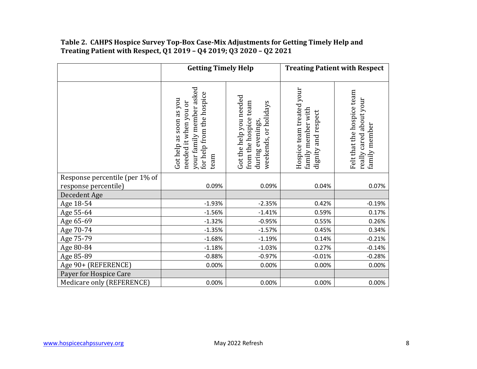#### **Table 2. CAHPS Hospice Survey Top-Box Case-Mix Adjustments for Getting Timely Help and Treating Patient with Respect, Q1 2019 – Q4 2019; Q3 2020 – Q2 2021**

|                                                        | <b>Getting Timely Help</b>                                                                                        |                                                                                               |                                                                        | <b>Treating Patient with Respect</b>                                   |
|--------------------------------------------------------|-------------------------------------------------------------------------------------------------------------------|-----------------------------------------------------------------------------------------------|------------------------------------------------------------------------|------------------------------------------------------------------------|
|                                                        | your family member asked<br>for help from the hospice<br>Got help as soon as you<br>needed it when you or<br>team | Got the help you needed<br>from the hospice team<br>weekends, or holidays<br>during evenings, | Hospice team treated your<br>family member with<br>dignity and respect | Felt that the hospice team<br>really cared about your<br>family member |
| Response percentile (per 1% of<br>response percentile) | 0.09%                                                                                                             | 0.09%                                                                                         | 0.04%                                                                  | 0.07%                                                                  |
| Decedent Age                                           |                                                                                                                   |                                                                                               |                                                                        |                                                                        |
| Age 18-54                                              | $-1.93%$                                                                                                          | $-2.35%$                                                                                      | 0.42%                                                                  | $-0.19%$                                                               |
| Age 55-64                                              | $-1.56%$                                                                                                          | $-1.41%$                                                                                      | 0.59%                                                                  | 0.17%                                                                  |
| Age 65-69                                              | $-1.32%$                                                                                                          | $-0.95%$                                                                                      | 0.55%                                                                  | 0.26%                                                                  |
| Age 70-74                                              | $-1.35%$                                                                                                          | $-1.57%$                                                                                      | 0.45%                                                                  | 0.34%                                                                  |
| Age 75-79                                              | $-1.68%$                                                                                                          | $-1.19%$                                                                                      | 0.14%                                                                  | $-0.21%$                                                               |
| Age 80-84                                              | $-1.18%$                                                                                                          | $-1.03%$                                                                                      | 0.27%                                                                  | $-0.14%$                                                               |
| Age 85-89                                              | $-0.88%$                                                                                                          | $-0.97%$                                                                                      | $-0.01%$                                                               | $-0.28%$                                                               |
| Age 90+ (REFERENCE)                                    | 0.00%                                                                                                             | 0.00%                                                                                         | 0.00%                                                                  | 0.00%                                                                  |
| Payer for Hospice Care                                 |                                                                                                                   |                                                                                               |                                                                        |                                                                        |
| Medicare only (REFERENCE)                              | 0.00%                                                                                                             | 0.00%                                                                                         | 0.00%                                                                  | 0.00%                                                                  |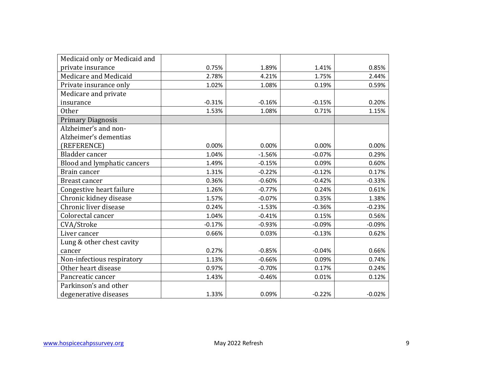| Medicaid only or Medicaid and |          |          |          |          |
|-------------------------------|----------|----------|----------|----------|
| private insurance             | 0.75%    | 1.89%    | 1.41%    | 0.85%    |
| Medicare and Medicaid         | 2.78%    | 4.21%    | 1.75%    | 2.44%    |
| Private insurance only        | 1.02%    | 1.08%    | 0.19%    | 0.59%    |
| Medicare and private          |          |          |          |          |
| insurance                     | $-0.31%$ | $-0.16%$ | $-0.15%$ | 0.20%    |
| Other                         | 1.53%    | 1.08%    | 0.71%    | 1.15%    |
| <b>Primary Diagnosis</b>      |          |          |          |          |
| Alzheimer's and non-          |          |          |          |          |
| Alzheimer's dementias         |          |          |          |          |
| (REFERENCE)                   | 0.00%    | 0.00%    | 0.00%    | 0.00%    |
| Bladder cancer                | 1.04%    | $-1.56%$ | $-0.07%$ | 0.29%    |
| Blood and lymphatic cancers   | 1.49%    | $-0.15%$ | 0.09%    | 0.60%    |
| Brain cancer                  | 1.31%    | $-0.22%$ | $-0.12%$ | 0.17%    |
| Breast cancer                 | 0.36%    | $-0.60%$ | $-0.42%$ | $-0.33%$ |
| Congestive heart failure      | 1.26%    | $-0.77%$ | 0.24%    | 0.61%    |
| Chronic kidney disease        | 1.57%    | $-0.07%$ | 0.35%    | 1.38%    |
| Chronic liver disease         | 0.24%    | $-1.53%$ | $-0.36%$ | $-0.23%$ |
| Colorectal cancer             | 1.04%    | $-0.41%$ | 0.15%    | 0.56%    |
| CVA/Stroke                    | $-0.17%$ | $-0.93%$ | $-0.09%$ | $-0.09%$ |
| Liver cancer                  | 0.66%    | 0.03%    | $-0.13%$ | 0.62%    |
| Lung & other chest cavity     |          |          |          |          |
| cancer                        | 0.27%    | $-0.85%$ | $-0.04%$ | 0.66%    |
| Non-infectious respiratory    | 1.13%    | $-0.66%$ | 0.09%    | 0.74%    |
| Other heart disease           | 0.97%    | $-0.70%$ | 0.17%    | 0.24%    |
| Pancreatic cancer             | 1.43%    | $-0.46%$ | 0.01%    | 0.12%    |
| Parkinson's and other         |          |          |          |          |
| degenerative diseases         | 1.33%    | 0.09%    | $-0.22%$ | $-0.02%$ |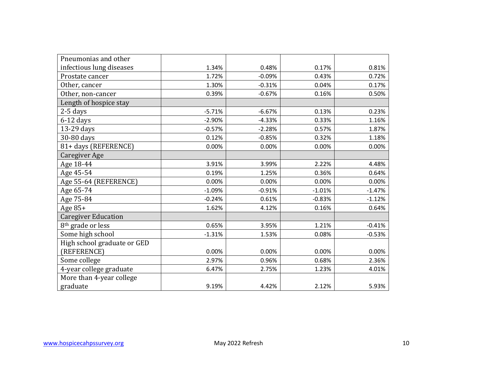| Pneumonias and other          |          |          |          |          |
|-------------------------------|----------|----------|----------|----------|
| infectious lung diseases      | 1.34%    | 0.48%    | 0.17%    | 0.81%    |
| Prostate cancer               | 1.72%    | $-0.09%$ | 0.43%    | 0.72%    |
| Other, cancer                 | 1.30%    | $-0.31%$ | 0.04%    | 0.17%    |
| Other, non-cancer             | 0.39%    | $-0.67%$ | 0.16%    | 0.50%    |
| Length of hospice stay        |          |          |          |          |
| $2-5$ days                    | $-5.71%$ | $-6.67%$ | 0.13%    | 0.23%    |
| $6-12$ days                   | $-2.90%$ | $-4.33%$ | 0.33%    | 1.16%    |
| 13-29 days                    | $-0.57%$ | $-2.28%$ | 0.57%    | 1.87%    |
| 30-80 days                    | 0.12%    | $-0.85%$ | 0.32%    | 1.18%    |
| 81+ days (REFERENCE)          | 0.00%    | 0.00%    | 0.00%    | 0.00%    |
| Caregiver Age                 |          |          |          |          |
| Age 18-44                     | 3.91%    | 3.99%    | 2.22%    | 4.48%    |
| Age 45-54                     | 0.19%    | 1.25%    | 0.36%    | 0.64%    |
| Age 55-64 (REFERENCE)         | 0.00%    | 0.00%    | 0.00%    | 0.00%    |
| Age 65-74                     | $-1.09%$ | $-0.91%$ | $-1.01%$ | $-1.47%$ |
| Age 75-84                     | $-0.24%$ | 0.61%    | $-0.83%$ | $-1.12%$ |
| Age $85+$                     | 1.62%    | 4.12%    | 0.16%    | 0.64%    |
| <b>Caregiver Education</b>    |          |          |          |          |
| 8 <sup>th</sup> grade or less | 0.65%    | 3.95%    | 1.21%    | $-0.41%$ |
| Some high school              | $-1.31%$ | 1.53%    | 0.08%    | $-0.53%$ |
| High school graduate or GED   |          |          |          |          |
| (REFERENCE)                   | 0.00%    | 0.00%    | 0.00%    | 0.00%    |
| Some college                  | 2.97%    | 0.96%    | 0.68%    | 2.36%    |
| 4-year college graduate       | 6.47%    | 2.75%    | 1.23%    | 4.01%    |
| More than 4-year college      |          |          |          |          |
| graduate                      | 9.19%    | 4.42%    | 2.12%    | 5.93%    |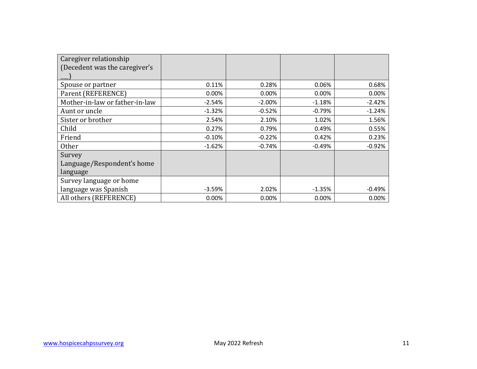| Caregiver relationship         |          |          |          |          |
|--------------------------------|----------|----------|----------|----------|
| (Decedent was the caregiver's  |          |          |          |          |
|                                |          |          |          |          |
| Spouse or partner              | 0.11%    | 0.28%    | 0.06%    | 0.68%    |
| Parent (REFERENCE)             | 0.00%    | 0.00%    | 0.00%    | 0.00%    |
| Mother-in-law or father-in-law | $-2.54%$ | $-2.00%$ | $-1.18%$ | $-2.42%$ |
| Aunt or uncle                  | $-1.32%$ | $-0.52%$ | $-0.79%$ | $-1.24%$ |
| Sister or brother              | 2.54%    | 2.10%    | 1.02%    | 1.56%    |
| Child                          | 0.27%    | 0.79%    | 0.49%    | 0.55%    |
| Friend                         | $-0.10%$ | $-0.22%$ | 0.42%    | 0.23%    |
| <b>Other</b>                   | $-1.62%$ | $-0.74%$ | $-0.49%$ | $-0.92%$ |
| Survey                         |          |          |          |          |
| Language/Respondent's home     |          |          |          |          |
| language                       |          |          |          |          |
| Survey language or home        |          |          |          |          |
| language was Spanish           | $-3.59%$ | 2.02%    | $-1.35%$ | $-0.49%$ |
| All others (REFERENCE)         | 0.00%    | 0.00%    | 0.00%    | 0.00%    |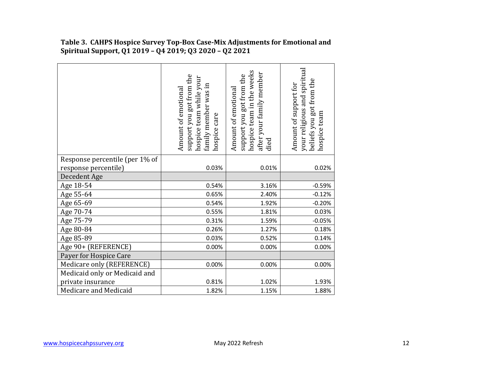|                                | support you got from the<br>hospice team while your<br>family member was in<br>Amount of emotional<br>hospice care | hospice team in the weeks<br>after your family member<br>support you got from the<br>Amount of emotional<br>died | your religious and spiritual<br>beliefs you got from the<br>Amount of support for<br>hospice team |
|--------------------------------|--------------------------------------------------------------------------------------------------------------------|------------------------------------------------------------------------------------------------------------------|---------------------------------------------------------------------------------------------------|
| Response percentile (per 1% of |                                                                                                                    |                                                                                                                  |                                                                                                   |
| response percentile)           | 0.03%                                                                                                              | 0.01%                                                                                                            | 0.02%                                                                                             |
| Decedent Age                   |                                                                                                                    |                                                                                                                  |                                                                                                   |
| Age 18-54                      | 0.54%                                                                                                              | 3.16%                                                                                                            | $-0.59%$                                                                                          |
| Age 55-64                      | 0.65%                                                                                                              | 2.40%                                                                                                            | $-0.12%$                                                                                          |
| Age 65-69                      | 0.54%                                                                                                              | 1.92%                                                                                                            | $-0.20%$                                                                                          |
| Age 70-74                      | 0.55%                                                                                                              | 1.81%                                                                                                            | 0.03%                                                                                             |
| Age 75-79                      | 0.31%                                                                                                              | 1.59%                                                                                                            | $-0.05%$                                                                                          |
| Age 80-84                      | 0.26%                                                                                                              | 1.27%                                                                                                            | 0.18%                                                                                             |
| Age 85-89                      | 0.03%                                                                                                              | 0.52%                                                                                                            | 0.14%                                                                                             |
| Age 90+ (REFERENCE)            | 0.00%                                                                                                              | 0.00%                                                                                                            | 0.00%                                                                                             |
| Payer for Hospice Care         |                                                                                                                    |                                                                                                                  |                                                                                                   |
| Medicare only (REFERENCE)      | 0.00%                                                                                                              | 0.00%                                                                                                            | 0.00%                                                                                             |
| Medicaid only or Medicaid and  |                                                                                                                    |                                                                                                                  |                                                                                                   |
| private insurance              | 0.81%                                                                                                              | 1.02%                                                                                                            | 1.93%                                                                                             |
| Medicare and Medicaid          | 1.82%                                                                                                              | 1.15%                                                                                                            | 1.88%                                                                                             |

 **Table 3. CAHPS Hospice Survey Top-Box Case-Mix Adjustments for Emotional and Spiritual Support, Q1 2019 – Q4 2019; Q3 2020 – Q2 2021**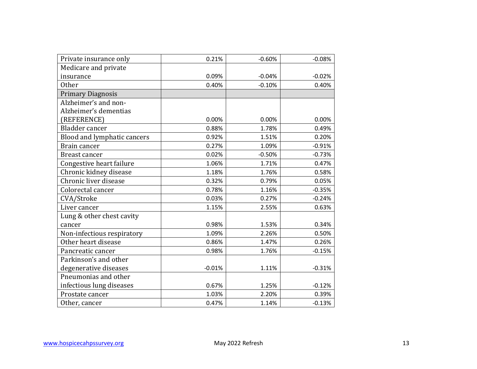| Private insurance only      | 0.21%    | $-0.60%$ | $-0.08%$ |
|-----------------------------|----------|----------|----------|
| Medicare and private        |          |          |          |
| insurance                   | 0.09%    | $-0.04%$ | $-0.02%$ |
| <b>Other</b>                | 0.40%    | $-0.10%$ | 0.40%    |
| <b>Primary Diagnosis</b>    |          |          |          |
| Alzheimer's and non-        |          |          |          |
| Alzheimer's dementias       |          |          |          |
| (REFERENCE)                 | 0.00%    | 0.00%    | 0.00%    |
| Bladder cancer              | 0.88%    | 1.78%    | 0.49%    |
| Blood and lymphatic cancers | 0.92%    | 1.51%    | 0.20%    |
| Brain cancer                | 0.27%    | 1.09%    | $-0.91%$ |
| Breast cancer               | 0.02%    | $-0.50%$ | $-0.73%$ |
| Congestive heart failure    | 1.06%    | 1.71%    | 0.47%    |
| Chronic kidney disease      | 1.18%    | 1.76%    | 0.58%    |
| Chronic liver disease       | 0.32%    | 0.79%    | 0.05%    |
| Colorectal cancer           | 0.78%    | 1.16%    | $-0.35%$ |
| CVA/Stroke                  | 0.03%    | 0.27%    | $-0.24%$ |
| Liver cancer                | 1.15%    | 2.55%    | 0.63%    |
| Lung & other chest cavity   |          |          |          |
| cancer                      | 0.98%    | 1.53%    | 0.34%    |
| Non-infectious respiratory  | 1.09%    | 2.26%    | 0.50%    |
| Other heart disease         | 0.86%    | 1.47%    | 0.26%    |
| Pancreatic cancer           | 0.98%    | 1.76%    | $-0.15%$ |
| Parkinson's and other       |          |          |          |
| degenerative diseases       | $-0.01%$ | 1.11%    | $-0.31%$ |
| Pneumonias and other        |          |          |          |
| infectious lung diseases    | 0.67%    | 1.25%    | $-0.12%$ |
| Prostate cancer             | 1.03%    | 2.20%    | 0.39%    |
| Other, cancer               | 0.47%    | 1.14%    | $-0.13%$ |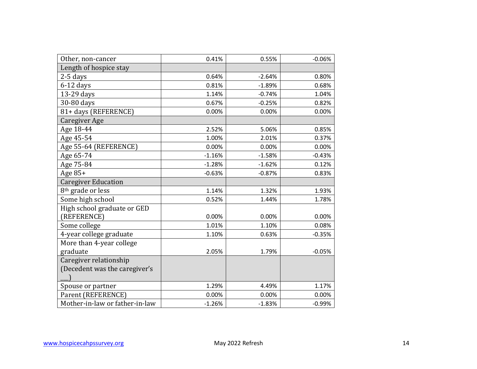| Other, non-cancer              | 0.41%    | 0.55%    | $-0.06%$ |
|--------------------------------|----------|----------|----------|
| Length of hospice stay         |          |          |          |
| $2-5$ days                     | 0.64%    | $-2.64%$ | 0.80%    |
| $6-12$ days                    | 0.81%    | $-1.89%$ | 0.68%    |
| 13-29 days                     | 1.14%    | $-0.74%$ | 1.04%    |
| 30-80 days                     | 0.67%    | $-0.25%$ | 0.82%    |
| 81+ days (REFERENCE)           | 0.00%    | 0.00%    | 0.00%    |
| <b>Caregiver Age</b>           |          |          |          |
| Age 18-44                      | 2.52%    | 5.06%    | 0.85%    |
| Age 45-54                      | 1.00%    | 2.01%    | 0.37%    |
| Age 55-64 (REFERENCE)          | 0.00%    | 0.00%    | 0.00%    |
| Age 65-74                      | $-1.16%$ | $-1.58%$ | $-0.43%$ |
| Age 75-84                      | $-1.28%$ | $-1.62%$ | 0.12%    |
| Age 85+                        | $-0.63%$ | $-0.87%$ | 0.83%    |
| <b>Caregiver Education</b>     |          |          |          |
| 8 <sup>th</sup> grade or less  | 1.14%    | 1.32%    | 1.93%    |
| Some high school               | 0.52%    | 1.44%    | 1.78%    |
| High school graduate or GED    |          |          |          |
| (REFERENCE)                    | 0.00%    | 0.00%    | 0.00%    |
| Some college                   | 1.01%    | 1.10%    | 0.08%    |
| 4-year college graduate        | 1.10%    | 0.63%    | $-0.35%$ |
| More than 4-year college       |          |          |          |
| graduate                       | 2.05%    | 1.79%    | $-0.05%$ |
| Caregiver relationship         |          |          |          |
| (Decedent was the caregiver's  |          |          |          |
|                                |          |          |          |
| Spouse or partner              | 1.29%    | 4.49%    | 1.17%    |
| Parent (REFERENCE)             | 0.00%    | 0.00%    | 0.00%    |
| Mother-in-law or father-in-law | $-1.26%$ | $-1.83%$ | $-0.99%$ |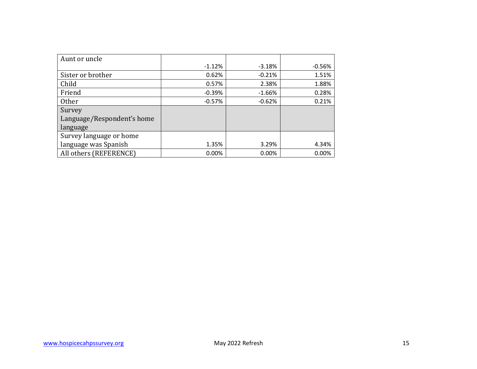| Aunt or uncle              |          |          |          |
|----------------------------|----------|----------|----------|
|                            | $-1.12%$ | $-3.18%$ | $-0.56%$ |
| Sister or brother          | 0.62%    | $-0.21%$ | 1.51%    |
| Child                      | 0.57%    | 2.38%    | 1.88%    |
| Friend                     | $-0.39%$ | $-1.66%$ | 0.28%    |
| <b>Other</b>               | $-0.57%$ | $-0.62%$ | 0.21%    |
| Survey                     |          |          |          |
| Language/Respondent's home |          |          |          |
| language                   |          |          |          |
| Survey language or home    |          |          |          |
| language was Spanish       | 1.35%    | 3.29%    | 4.34%    |
| All others (REFERENCE)     | 0.00%    | 0.00%    | 0.00%    |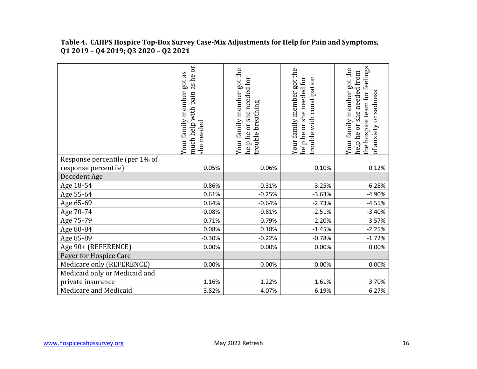|                                | as he or<br>Your family member got as<br>much help with pain<br>she needed | Your family member got the<br>or she needed for<br>breathing<br>rouble<br>help he | Your family member got the<br>help he or she needed for<br>trouble with constipation | the hospice team for feelings<br>Your family member got the<br>help he or she needed from<br>of anxiety or sadness |
|--------------------------------|----------------------------------------------------------------------------|-----------------------------------------------------------------------------------|--------------------------------------------------------------------------------------|--------------------------------------------------------------------------------------------------------------------|
| Response percentile (per 1% of |                                                                            |                                                                                   |                                                                                      |                                                                                                                    |
| response percentile)           | 0.05%                                                                      | 0.06%                                                                             | 0.10%                                                                                | 0.12%                                                                                                              |
| Decedent Age                   |                                                                            |                                                                                   |                                                                                      |                                                                                                                    |
| Age 18-54                      | 0.86%                                                                      | $-0.31%$                                                                          | $-3.25%$                                                                             | $-6.28%$                                                                                                           |
| Age 55-64                      | 0.61%                                                                      | $-0.25%$                                                                          | $-3.63%$                                                                             | $-4.90%$                                                                                                           |
| Age 65-69                      | 0.64%                                                                      | $-0.64%$                                                                          | $-2.73%$                                                                             | $-4.55%$                                                                                                           |
| Age 70-74                      | $-0.08%$                                                                   | $-0.81%$                                                                          | $-2.51%$                                                                             | $-3.40%$                                                                                                           |
| Age 75-79                      | $-0.71%$                                                                   | $-0.79%$                                                                          | $-2.20%$                                                                             | $-3.57%$                                                                                                           |
| Age 80-84                      | 0.08%                                                                      | 0.18%                                                                             | $-1.45%$                                                                             | $-2.25%$                                                                                                           |
| Age 85-89                      | $-0.30%$                                                                   | $-0.22%$                                                                          | $-0.78%$                                                                             | $-1.72%$                                                                                                           |
| Age 90+ (REFERENCE)            | 0.00%                                                                      | 0.00%                                                                             | 0.00%                                                                                | 0.00%                                                                                                              |
| Payer for Hospice Care         |                                                                            |                                                                                   |                                                                                      |                                                                                                                    |
| Medicare only (REFERENCE)      | 0.00%                                                                      | 0.00%                                                                             | 0.00%                                                                                | 0.00%                                                                                                              |
| Medicaid only or Medicaid and  |                                                                            |                                                                                   |                                                                                      |                                                                                                                    |
| private insurance              | 1.16%                                                                      | 1.22%                                                                             | 1.61%                                                                                | 3.70%                                                                                                              |
| Medicare and Medicaid          | 3.82%                                                                      | 4.07%                                                                             | 6.19%                                                                                | 6.27%                                                                                                              |

 **Table 4. CAHPS Hospice Top-Box Survey Case-Mix Adjustments for Help for Pain and Symptoms, Q1 2019 – Q4 2019; Q3 2020 – Q2 2021**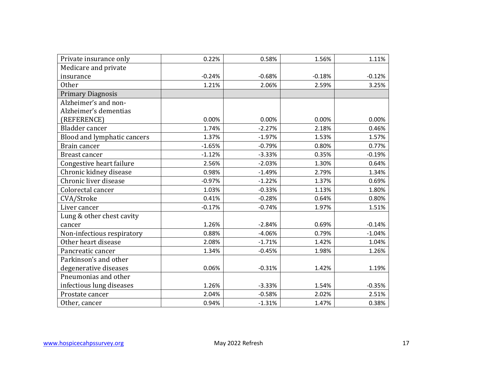| Private insurance only      | 0.22%    | 0.58%    | 1.56%    | 1.11%    |
|-----------------------------|----------|----------|----------|----------|
| Medicare and private        |          |          |          |          |
| insurance                   | $-0.24%$ | $-0.68%$ | $-0.18%$ | $-0.12%$ |
| <b>Other</b>                | 1.21%    | 2.06%    | 2.59%    | 3.25%    |
| <b>Primary Diagnosis</b>    |          |          |          |          |
| Alzheimer's and non-        |          |          |          |          |
| Alzheimer's dementias       |          |          |          |          |
| (REFERENCE)                 | 0.00%    | 0.00%    | 0.00%    | 0.00%    |
| Bladder cancer              | 1.74%    | $-2.27%$ | 2.18%    | 0.46%    |
| Blood and lymphatic cancers | 1.37%    | $-1.97%$ | 1.53%    | 1.57%    |
| Brain cancer                | $-1.65%$ | $-0.79%$ | 0.80%    | 0.77%    |
| <b>Breast cancer</b>        | $-1.12%$ | $-3.33%$ | 0.35%    | $-0.19%$ |
| Congestive heart failure    | 2.56%    | $-2.03%$ | 1.30%    | 0.64%    |
| Chronic kidney disease      | 0.98%    | $-1.49%$ | 2.79%    | 1.34%    |
| Chronic liver disease       | $-0.97%$ | $-1.22%$ | 1.37%    | 0.69%    |
| Colorectal cancer           | 1.03%    | $-0.33%$ | 1.13%    | 1.80%    |
| CVA/Stroke                  | 0.41%    | $-0.28%$ | 0.64%    | 0.80%    |
| Liver cancer                | $-0.17%$ | $-0.74%$ | 1.97%    | 1.51%    |
| Lung & other chest cavity   |          |          |          |          |
| cancer                      | 1.26%    | $-2.84%$ | 0.69%    | $-0.14%$ |
| Non-infectious respiratory  | 0.88%    | $-4.06%$ | 0.79%    | $-1.04%$ |
| Other heart disease         | 2.08%    | $-1.71%$ | 1.42%    | 1.04%    |
| Pancreatic cancer           | 1.34%    | $-0.45%$ | 1.98%    | 1.26%    |
| Parkinson's and other       |          |          |          |          |
| degenerative diseases       | 0.06%    | $-0.31%$ | 1.42%    | 1.19%    |
| Pneumonias and other        |          |          |          |          |
| infectious lung diseases    | 1.26%    | $-3.33%$ | 1.54%    | $-0.35%$ |
| Prostate cancer             | 2.04%    | $-0.58%$ | 2.02%    | 2.51%    |
| Other, cancer               | 0.94%    | $-1.31%$ | 1.47%    | 0.38%    |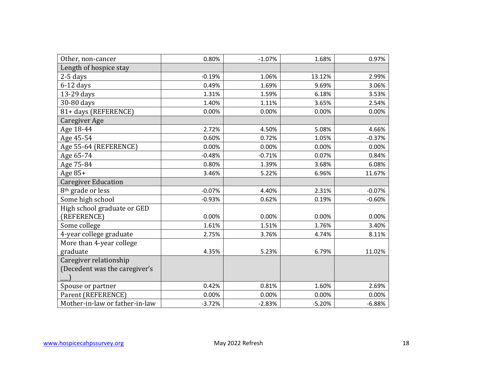| Other, non-cancer              | 0.80%    | $-1.07%$ | 1.68%    | 0.97%    |
|--------------------------------|----------|----------|----------|----------|
| Length of hospice stay         |          |          |          |          |
| $2-5$ days                     | $-0.19%$ | 1.06%    | 13.12%   | 2.99%    |
| $6-12$ days                    | 0.49%    | 1.69%    | 9.69%    | 3.06%    |
| 13-29 days                     | 1.31%    | 1.59%    | 6.18%    | 3.53%    |
| 30-80 days                     | 1.40%    | 1.11%    | 3.65%    | 2.54%    |
| 81+ days (REFERENCE)           | 0.00%    | 0.00%    | 0.00%    | 0.00%    |
| Caregiver Age                  |          |          |          |          |
| Age 18-44                      | 2.72%    | 4.50%    | 5.08%    | 4.66%    |
| Age 45-54                      | 0.60%    | 0.72%    | 1.05%    | $-0.37%$ |
| Age 55-64 (REFERENCE)          | 0.00%    | 0.00%    | 0.00%    | 0.00%    |
| Age 65-74                      | $-0.48%$ | $-0.71%$ | 0.07%    | 0.84%    |
| Age 75-84                      | 0.80%    | 1.39%    | 3.68%    | 6.08%    |
| Age 85+                        | 3.46%    | 5.22%    | 6.96%    | 11.67%   |
| <b>Caregiver Education</b>     |          |          |          |          |
| 8 <sup>th</sup> grade or less  | $-0.07%$ | 4.40%    | 2.31%    | $-0.07%$ |
| Some high school               | $-0.93%$ | 0.62%    | 0.19%    | $-0.60%$ |
| High school graduate or GED    |          |          |          |          |
| (REFERENCE)                    | 0.00%    | 0.00%    | 0.00%    | 0.00%    |
| Some college                   | 1.61%    | 1.51%    | 1.76%    | 3.40%    |
| 4-year college graduate        | 2.75%    | 3.76%    | 4.74%    | 8.11%    |
| More than 4-year college       |          |          |          |          |
| graduate                       | 4.35%    | 5.23%    | 6.79%    | 11.02%   |
| Caregiver relationship         |          |          |          |          |
| (Decedent was the caregiver's  |          |          |          |          |
|                                |          |          |          |          |
| Spouse or partner              | 0.42%    | 0.81%    | 1.60%    | 2.69%    |
| Parent (REFERENCE)             | 0.00%    | 0.00%    | 0.00%    | 0.00%    |
| Mother-in-law or father-in-law | $-3.72%$ | $-2.83%$ | $-5.20%$ | $-6.88%$ |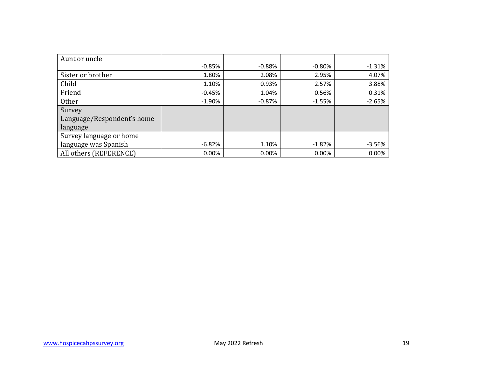| Aunt or uncle              |          |           |          |          |
|----------------------------|----------|-----------|----------|----------|
|                            | $-0.85%$ | $-0.88\%$ | $-0.80%$ | $-1.31%$ |
| Sister or brother          | 1.80%    | 2.08%     | 2.95%    | 4.07%    |
| Child                      | 1.10%    | 0.93%     | 2.57%    | 3.88%    |
| Friend                     | $-0.45%$ | 1.04%     | 0.56%    | 0.31%    |
| Other                      | $-1.90%$ | $-0.87%$  | $-1.55%$ | $-2.65%$ |
| Survey                     |          |           |          |          |
| Language/Respondent's home |          |           |          |          |
| language                   |          |           |          |          |
| Survey language or home    |          |           |          |          |
| language was Spanish       | $-6.82%$ | 1.10%     | $-1.82%$ | $-3.56%$ |
| All others (REFERENCE)     | 0.00%    | 0.00%     | 0.00%    | 0.00%    |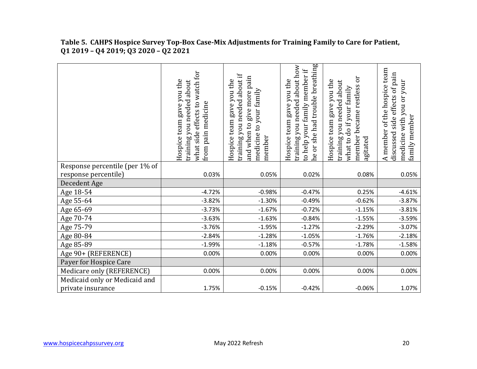ne or she had trouble breathing training you needed about how he or she had trouble breathing training you needed about how A member of the hospice team to help your family member if A member of the hospice team to help your family member if what side effects to watch for what side effects to watch for discussed side effects of pain discussed side effects of pain training you needed about if training you needed about if and when to give more pain and when to give more pain member became restless or member became restless or Hospice team gave you the training you needed about Hospice team gave you the Hospice team gave you the Hospice team gave you the Hospice team gave you the Hospice team gave you the training you needed about Hospice team gave you the Hospice team gave you the training you needed about training you needed about medicine with you or your medicine with you or your what to do if your family what to do if your family medicine to your family medicine to your family from pain medicine from pain medicine family member family member agitated member Response percentile (per 1% of response percentile) 0.03% 0.05% 0.02% 0.08% 0.05% Decedent Age<br>Age 18-54  $Age 18-54$  -4.72% -0.98% -0.47% 0.25% -4.61%  $Age\,55-64$  -3.82% -3.82% -1.30% -0.49% -0.62% -0.62% -3.87%  $Age\,65-69$  -3.73% -1.67% -0.72% -0.72% -1.15% -3.81%  $Age\ 70$ -74 -3.59% -3.63% -1.63% -0.84% -0.84% -1.55% -3.59%  $Age 75-79$  -3.76% -1.95% -1.27% -1.27% -2.29% -3.07%  $Age 80-84$  -2.84% -2.84% -1.28% -1.05% -1.05% -1.76% -2.18% Age 85-89 -1.99% -1.99% -1.18% -0.57% -1.78% -1.78% -1.58% Age 90+ (REFERENCE)  $\begin{array}{ccc} \vert & \vert & \vert & \vert & \vert & \vert \end{array}$  0.00% 0.00% 0.00% 0.00% 0.00% 0.00% 0.00% 0.00% 0.00% 0.00 Payer for Hospice Care Medicare only (REFERENCE)  $\begin{array}{ccc} \vert & \vert & \vert & \vert & \vert & \vert \end{array}$  0.00% 0.00% 0.00% 0.00% 0.00% 0.00% 0.00% 0.00% 0.00% 0.00% 0.00% 0.00% 0.00% 0.00% 0.00% 0.00% 0.00% 0.00% 0.00% 0.00% 0.00% 0.00% 0.00% 0.00% 0.00% 0.00% 0.00% 0. Medicaid only or Medicaid and private insurance  $1.75\%$   $-0.15\%$   $-0.42\%$   $-0.06\%$   $-0.06\%$   $-0.07\%$ 

 **Table 5. CAHPS Hospice Survey Top-Box Case-Mix Adjustments for Training Family to Care for Patient, Q1 2019 – Q4 2019; Q3 2020 – Q2 2021**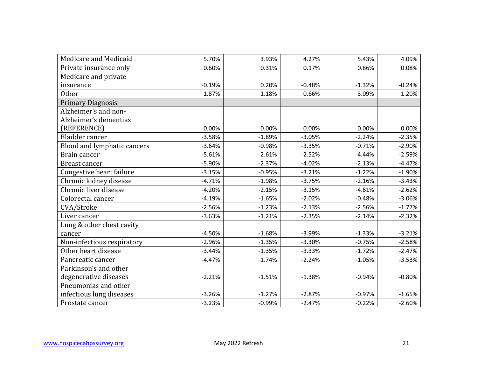| Medicare and Medicaid       | 5.70%    | 3.93%    | 4.27%    | 5.43%    | 4.09%    |
|-----------------------------|----------|----------|----------|----------|----------|
| Private insurance only      | 0.60%    | 0.31%    | 0.17%    | 0.86%    | 0.08%    |
| Medicare and private        |          |          |          |          |          |
| insurance                   | $-0.19%$ | 0.20%    | $-0.48%$ | $-1.32%$ | $-0.24%$ |
| Other                       | 1.87%    | 1.18%    | 0.66%    | 3.09%    | 1.20%    |
| <b>Primary Diagnosis</b>    |          |          |          |          |          |
| Alzheimer's and non-        |          |          |          |          |          |
| Alzheimer's dementias       |          |          |          |          |          |
| (REFERENCE)                 | 0.00%    | 0.00%    | 0.00%    | 0.00%    | 0.00%    |
| Bladder cancer              | $-3.58%$ | $-1.89%$ | $-3.05%$ | $-2.24%$ | $-2.35%$ |
| Blood and lymphatic cancers | $-3.64%$ | $-0.98%$ | $-3.35%$ | $-0.71%$ | $-2.90%$ |
| Brain cancer                | $-5.61%$ | $-2.61%$ | $-2.52%$ | $-4.44%$ | $-2.59%$ |
| <b>Breast cancer</b>        | $-5.90%$ | $-2.37%$ | $-4.02%$ | $-2.13%$ | $-4.47%$ |
| Congestive heart failure    | $-3.15%$ | $-0.95%$ | $-3.21%$ | $-1.22%$ | $-1.90%$ |
| Chronic kidney disease      | $-4.71%$ | $-1.98%$ | $-3.75%$ | $-2.16%$ | $-3.43%$ |
| Chronic liver disease       | $-4.20%$ | $-2.15%$ | $-3.15%$ | $-4.61%$ | $-2.62%$ |
| Colorectal cancer           | $-4.19%$ | $-1.65%$ | $-2.02%$ | $-0.48%$ | $-3.06%$ |
| CVA/Stroke                  | $-2.56%$ | $-1.23%$ | $-2.13%$ | $-2.56%$ | $-1.77%$ |
| Liver cancer                | $-3.63%$ | $-1.21%$ | $-2.35%$ | $-2.14%$ | $-2.32%$ |
| Lung & other chest cavity   |          |          |          |          |          |
| cancer                      | $-4.50%$ | $-1.68%$ | $-3.99%$ | $-1.33%$ | $-3.21%$ |
| Non-infectious respiratory  | $-2.96%$ | $-1.35%$ | $-3.30%$ | $-0.75%$ | $-2.58%$ |
| Other heart disease         | $-3.44%$ | $-1.35%$ | $-3.33%$ | $-1.72%$ | $-2.47%$ |
| Pancreatic cancer           | $-4.47%$ | $-1.74%$ | $-2.24%$ | $-1.05%$ | $-3.53%$ |
| Parkinson's and other       |          |          |          |          |          |
| degenerative diseases       | $-2.21%$ | $-1.51%$ | $-1.38%$ | $-0.94%$ | $-0.80%$ |
| Pneumonias and other        |          |          |          |          |          |
| infectious lung diseases    | $-3.26%$ | $-1.27%$ | $-2.87%$ | $-0.97%$ | $-1.65%$ |
| Prostate cancer             | $-3.23%$ | $-0.99%$ | $-2.47%$ | $-0.22%$ | $-2.60%$ |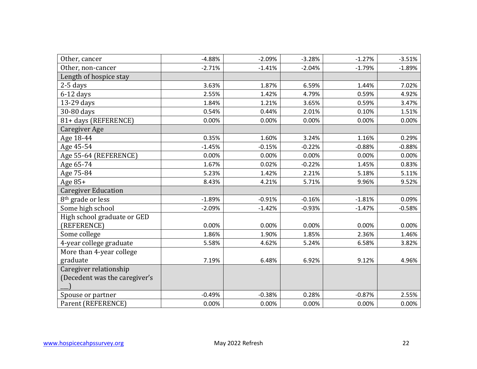| Other, cancer                 | $-4.88%$ | $-2.09%$ | $-3.28%$ | $-1.27%$ | $-3.51%$ |
|-------------------------------|----------|----------|----------|----------|----------|
| Other, non-cancer             | $-2.71%$ | $-1.41%$ | $-2.04%$ | $-1.79%$ | $-1.89%$ |
| Length of hospice stay        |          |          |          |          |          |
| $2-5$ days                    | 3.63%    | 1.87%    | 6.59%    | 1.44%    | 7.02%    |
| $6-12$ days                   | 2.55%    | 1.42%    | 4.79%    | 0.59%    | 4.92%    |
| 13-29 days                    | 1.84%    | 1.21%    | 3.65%    | 0.59%    | 3.47%    |
| 30-80 days                    | 0.54%    | 0.44%    | 2.01%    | 0.10%    | 1.51%    |
| 81+ days (REFERENCE)          | 0.00%    | 0.00%    | 0.00%    | 0.00%    | 0.00%    |
| Caregiver Age                 |          |          |          |          |          |
| Age 18-44                     | 0.35%    | 1.60%    | 3.24%    | 1.16%    | 0.29%    |
| Age 45-54                     | $-1.45%$ | $-0.15%$ | $-0.22%$ | $-0.88%$ | $-0.88%$ |
| Age 55-64 (REFERENCE)         | 0.00%    | 0.00%    | 0.00%    | 0.00%    | 0.00%    |
| Age 65-74                     | 1.67%    | 0.02%    | $-0.22%$ | 1.45%    | 0.83%    |
| Age 75-84                     | 5.23%    | 1.42%    | 2.21%    | 5.18%    | 5.11%    |
| Age 85+                       | 8.43%    | 4.21%    | 5.71%    | 9.96%    | 9.52%    |
| <b>Caregiver Education</b>    |          |          |          |          |          |
| 8 <sup>th</sup> grade or less | $-1.89%$ | $-0.91%$ | $-0.16%$ | $-1.81%$ | 0.09%    |
| Some high school              | $-2.09%$ | $-1.42%$ | $-0.93%$ | $-1.47%$ | $-0.58%$ |
| High school graduate or GED   |          |          |          |          |          |
| (REFERENCE)                   | 0.00%    | 0.00%    | 0.00%    | 0.00%    | 0.00%    |
| Some college                  | 1.86%    | 1.90%    | 1.85%    | 2.36%    | 1.46%    |
| 4-year college graduate       | 5.58%    | 4.62%    | 5.24%    | 6.58%    | 3.82%    |
| More than 4-year college      |          |          |          |          |          |
| graduate                      | 7.19%    | 6.48%    | 6.92%    | 9.12%    | 4.96%    |
| Caregiver relationship        |          |          |          |          |          |
| (Decedent was the caregiver's |          |          |          |          |          |
|                               |          |          |          |          |          |
| Spouse or partner             | $-0.49%$ | $-0.38%$ | 0.28%    | $-0.87%$ | 2.55%    |
| Parent (REFERENCE)            | 0.00%    | 0.00%    | 0.00%    | 0.00%    | 0.00%    |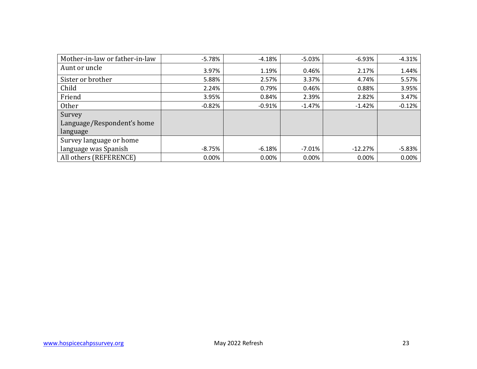| Mother-in-law or father-in-law | $-5.78%$ | $-4.18%$ | $-5.03%$ | $-6.93%$  | $-4.31%$ |
|--------------------------------|----------|----------|----------|-----------|----------|
| Aunt or uncle                  | 3.97%    | 1.19%    | 0.46%    | 2.17%     | 1.44%    |
| Sister or brother              | 5.88%    | 2.57%    | 3.37%    | 4.74%     | 5.57%    |
| Child                          | 2.24%    | 0.79%    | 0.46%    | 0.88%     | 3.95%    |
| Friend                         | 3.95%    | 0.84%    | 2.39%    | 2.82%     | 3.47%    |
| <b>Other</b>                   | $-0.82%$ | $-0.91%$ | $-1.47%$ | $-1.42%$  | $-0.12%$ |
| Survey                         |          |          |          |           |          |
| Language/Respondent's home     |          |          |          |           |          |
| language                       |          |          |          |           |          |
| Survey language or home        |          |          |          |           |          |
| language was Spanish           | $-8.75%$ | $-6.18%$ | $-7.01%$ | $-12.27%$ | $-5.83%$ |
| All others (REFERENCE)         | $0.00\%$ | 0.00%    | 0.00%    | 0.00%     | 0.00%    |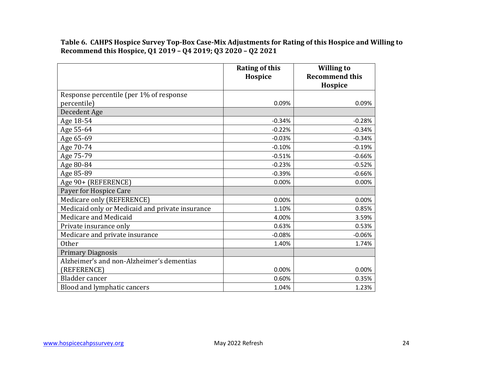**Recommend this Hospice, Q1 2019 – Q4 2019; Q3 2020 – Q2 2021 Table 6. CAHPS Hospice Survey Top-Box Case-Mix Adjustments for Rating of this Hospice and Willing to** 

|                                                 | <b>Rating of this</b><br>Hospice | <b>Willing to</b><br><b>Recommend this</b><br>Hospice |
|-------------------------------------------------|----------------------------------|-------------------------------------------------------|
| Response percentile (per 1% of response         |                                  |                                                       |
| percentile)                                     | 0.09%                            | 0.09%                                                 |
| Decedent Age                                    |                                  |                                                       |
| Age 18-54                                       | $-0.34%$                         | $-0.28%$                                              |
| Age 55-64                                       | $-0.22%$                         | $-0.34%$                                              |
| Age 65-69                                       | $-0.03%$                         | $-0.34%$                                              |
| Age 70-74                                       | $-0.10%$                         | $-0.19%$                                              |
| Age 75-79                                       | $-0.51%$                         | $-0.66%$                                              |
| Age 80-84                                       | $-0.23%$                         | $-0.52%$                                              |
| Age 85-89                                       | $-0.39%$                         | $-0.66%$                                              |
| Age 90+ (REFERENCE)                             | 0.00%                            | 0.00%                                                 |
| Payer for Hospice Care                          |                                  |                                                       |
| Medicare only (REFERENCE)                       | 0.00%                            | 0.00%                                                 |
| Medicaid only or Medicaid and private insurance | 1.10%                            | 0.85%                                                 |
| Medicare and Medicaid                           | 4.00%                            | 3.59%                                                 |
| Private insurance only                          | 0.63%                            | 0.53%                                                 |
| Medicare and private insurance                  | $-0.08%$                         | $-0.06%$                                              |
| <b>Other</b>                                    | 1.40%                            | 1.74%                                                 |
| <b>Primary Diagnosis</b>                        |                                  |                                                       |
| Alzheimer's and non-Alzheimer's dementias       |                                  |                                                       |
| (REFERENCE)                                     | 0.00%                            | 0.00%                                                 |
| Bladder cancer                                  | 0.60%                            | 0.35%                                                 |
| Blood and lymphatic cancers                     | 1.04%                            | 1.23%                                                 |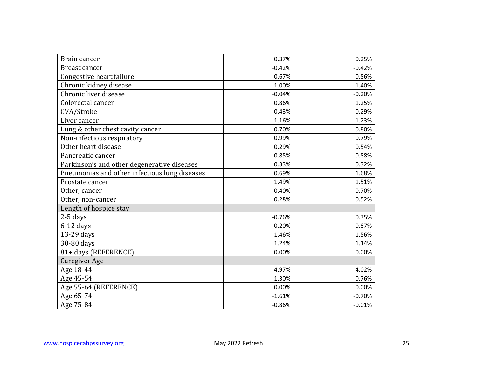| Brain cancer                                  | 0.37%    | 0.25%    |
|-----------------------------------------------|----------|----------|
| Breast cancer                                 | $-0.42%$ | $-0.42%$ |
| Congestive heart failure                      | 0.67%    | 0.86%    |
| Chronic kidney disease                        | 1.00%    | 1.40%    |
| Chronic liver disease                         | $-0.04%$ | $-0.20%$ |
| Colorectal cancer                             | 0.86%    | 1.25%    |
| CVA/Stroke                                    | $-0.43%$ | $-0.29%$ |
| Liver cancer                                  | 1.16%    | 1.23%    |
| Lung & other chest cavity cancer              | 0.70%    | 0.80%    |
| Non-infectious respiratory                    | 0.99%    | 0.79%    |
| Other heart disease                           | 0.29%    | 0.54%    |
| Pancreatic cancer                             | 0.85%    | 0.88%    |
| Parkinson's and other degenerative diseases   | 0.33%    | 0.32%    |
| Pneumonias and other infectious lung diseases | 0.69%    | 1.68%    |
| Prostate cancer                               | 1.49%    | 1.51%    |
| Other, cancer                                 | 0.40%    | 0.70%    |
| Other, non-cancer                             | 0.28%    | 0.52%    |
| Length of hospice stay                        |          |          |
| 2-5 days                                      | $-0.76%$ | 0.35%    |
| $6-12$ days                                   | 0.20%    | 0.87%    |
| 13-29 days                                    | 1.46%    | 1.56%    |
| 30-80 days                                    | 1.24%    | 1.14%    |
| 81+ days (REFERENCE)                          | 0.00%    | 0.00%    |
| <b>Caregiver Age</b>                          |          |          |
| Age 18-44                                     | 4.97%    | 4.02%    |
| Age 45-54                                     | 1.30%    | 0.76%    |
| Age 55-64 (REFERENCE)                         | 0.00%    | 0.00%    |
| Age 65-74                                     | $-1.61%$ | $-0.70%$ |
| Age 75-84                                     | $-0.86%$ | $-0.01%$ |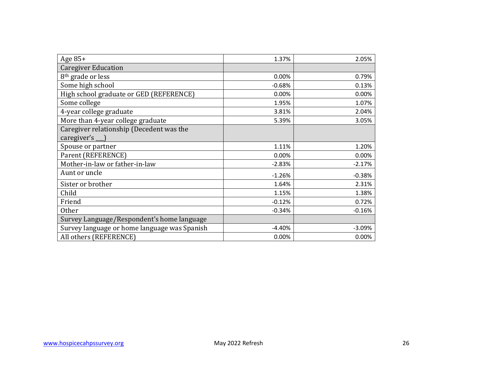| Age $85+$                                    | 1.37%    | 2.05%    |
|----------------------------------------------|----------|----------|
| <b>Caregiver Education</b>                   |          |          |
| 8 <sup>th</sup> grade or less                | 0.00%    | 0.79%    |
| Some high school                             | $-0.68%$ | 0.13%    |
| High school graduate or GED (REFERENCE)      | 0.00%    | 0.00%    |
| Some college                                 | 1.95%    | 1.07%    |
| 4-year college graduate                      | 3.81%    | 2.04%    |
| More than 4-year college graduate            | 5.39%    | 3.05%    |
| Caregiver relationship (Decedent was the     |          |          |
| caregiver's __ )                             |          |          |
| Spouse or partner                            | 1.11%    | 1.20%    |
| Parent (REFERENCE)                           | 0.00%    | 0.00%    |
| Mother-in-law or father-in-law               | $-2.83%$ | $-2.17%$ |
| Aunt or uncle                                | $-1.26%$ | $-0.38%$ |
| Sister or brother                            | 1.64%    | 2.31%    |
| Child                                        | 1.15%    | 1.38%    |
| Friend                                       | $-0.12%$ | 0.72%    |
| <b>Other</b>                                 | $-0.34%$ | $-0.16%$ |
| Survey Language/Respondent's home language   |          |          |
| Survey language or home language was Spanish | $-4.40%$ | $-3.09%$ |
| All others (REFERENCE)                       | 0.00%    | 0.00%    |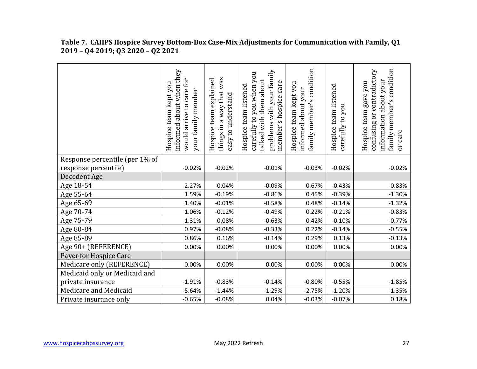|                                | informed about when they<br>would arrive to care for<br>Hospice team kept you<br>your family member | things in a way that was<br>team explained<br>easy to understand<br>Hospice | problems with your family<br>carefully to you when you<br>talked with them about<br>member's hospice care<br>Hospice team listened | family member's condition<br>Hospice team kept you<br>about your<br>informed | Hospice team listened<br>you<br>carefully to | family member's condition<br>contradictory<br>information about your<br>Hospice team gave you<br>ðr<br>confusing<br>or care |
|--------------------------------|-----------------------------------------------------------------------------------------------------|-----------------------------------------------------------------------------|------------------------------------------------------------------------------------------------------------------------------------|------------------------------------------------------------------------------|----------------------------------------------|-----------------------------------------------------------------------------------------------------------------------------|
| Response percentile (per 1% of |                                                                                                     |                                                                             |                                                                                                                                    |                                                                              |                                              |                                                                                                                             |
| response percentile)           | $-0.02%$                                                                                            | $-0.02%$                                                                    | $-0.01%$                                                                                                                           | $-0.03%$                                                                     | $-0.02%$                                     | $-0.02%$                                                                                                                    |
| Decedent Age                   |                                                                                                     |                                                                             |                                                                                                                                    |                                                                              |                                              |                                                                                                                             |
| Age 18-54                      | 2.27%                                                                                               | 0.04%                                                                       | $-0.09%$                                                                                                                           | 0.67%                                                                        | $-0.43%$                                     | $-0.83%$                                                                                                                    |
| Age 55-64                      | 1.59%                                                                                               | $-0.19%$                                                                    | $-0.86%$                                                                                                                           | 0.45%                                                                        | $-0.39%$                                     | $-1.30%$                                                                                                                    |
| Age 65-69                      | 1.40%                                                                                               | $-0.01%$                                                                    | $-0.58%$                                                                                                                           | 0.48%                                                                        | $-0.14%$                                     | $-1.32%$                                                                                                                    |
| Age 70-74                      | 1.06%                                                                                               | $-0.12%$                                                                    | $-0.49%$                                                                                                                           | 0.22%                                                                        | $-0.21%$                                     | $-0.83%$                                                                                                                    |
| Age 75-79                      | 1.31%                                                                                               | 0.08%                                                                       | $-0.63%$                                                                                                                           | 0.42%                                                                        | $-0.10%$                                     | $-0.77%$                                                                                                                    |
| Age 80-84                      | 0.97%                                                                                               | $-0.08%$                                                                    | $-0.33%$                                                                                                                           | 0.22%                                                                        | $-0.14%$                                     | $-0.55%$                                                                                                                    |
| Age 85-89                      | 0.86%                                                                                               | 0.16%                                                                       | $-0.14%$                                                                                                                           | 0.29%                                                                        | 0.13%                                        | $-0.13%$                                                                                                                    |
| Age 90+ (REFERENCE)            | 0.00%                                                                                               | 0.00%                                                                       | 0.00%                                                                                                                              | 0.00%                                                                        | 0.00%                                        | 0.00%                                                                                                                       |
| Payer for Hospice Care         |                                                                                                     |                                                                             |                                                                                                                                    |                                                                              |                                              |                                                                                                                             |
| Medicare only (REFERENCE)      | 0.00%                                                                                               | 0.00%                                                                       | 0.00%                                                                                                                              | 0.00%                                                                        | 0.00%                                        | 0.00%                                                                                                                       |
| Medicaid only or Medicaid and  |                                                                                                     |                                                                             |                                                                                                                                    |                                                                              |                                              |                                                                                                                             |
| private insurance              | $-1.91%$                                                                                            | $-0.83%$                                                                    | $-0.14%$                                                                                                                           | $-0.80%$                                                                     | $-0.55%$                                     | $-1.85%$                                                                                                                    |
| Medicare and Medicaid          | $-5.64%$                                                                                            | $-1.44%$                                                                    | $-1.29%$                                                                                                                           | $-2.75%$                                                                     | $-1.20%$                                     | $-1.35%$                                                                                                                    |
| Private insurance only         | $-0.65%$                                                                                            | $-0.08%$                                                                    | 0.04%                                                                                                                              | $-0.03%$                                                                     | $-0.07%$                                     | 0.18%                                                                                                                       |

| Table 7. CAHPS Hospice Survey Bottom-Box Case-Mix Adjustments for Communication with Family, Q1 |
|-------------------------------------------------------------------------------------------------|
| 2019 - Q4 2019; Q3 2020 - Q2 2021                                                               |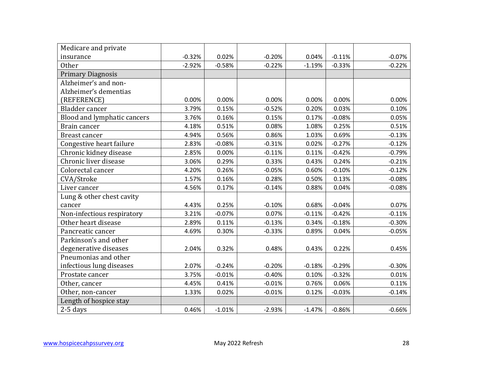| Medicare and private        |          |          |          |          |          |          |
|-----------------------------|----------|----------|----------|----------|----------|----------|
| insurance                   | $-0.32%$ | 0.02%    | $-0.20%$ | 0.04%    | $-0.11%$ | $-0.07%$ |
| <b>Other</b>                | $-2.92%$ | $-0.58%$ | $-0.22%$ | $-1.19%$ | $-0.33%$ | $-0.22%$ |
| <b>Primary Diagnosis</b>    |          |          |          |          |          |          |
| Alzheimer's and non-        |          |          |          |          |          |          |
| Alzheimer's dementias       |          |          |          |          |          |          |
| (REFERENCE)                 | 0.00%    | 0.00%    | 0.00%    | 0.00%    | 0.00%    | 0.00%    |
| Bladder cancer              | 3.79%    | 0.15%    | $-0.52%$ | 0.20%    | 0.03%    | 0.10%    |
| Blood and lymphatic cancers | 3.76%    | 0.16%    | 0.15%    | 0.17%    | $-0.08%$ | 0.05%    |
| Brain cancer                | 4.18%    | 0.51%    | 0.08%    | 1.08%    | 0.25%    | 0.51%    |
| Breast cancer               | 4.94%    | 0.56%    | 0.86%    | 1.03%    | 0.69%    | $-0.13%$ |
| Congestive heart failure    | 2.83%    | $-0.08%$ | $-0.31%$ | 0.02%    | $-0.27%$ | $-0.12%$ |
| Chronic kidney disease      | 2.85%    | 0.00%    | $-0.11%$ | 0.11%    | $-0.42%$ | $-0.79%$ |
| Chronic liver disease       | 3.06%    | 0.29%    | 0.33%    | 0.43%    | 0.24%    | $-0.21%$ |
| Colorectal cancer           | 4.20%    | 0.26%    | $-0.05%$ | 0.60%    | $-0.10%$ | $-0.12%$ |
| CVA/Stroke                  | 1.57%    | 0.16%    | 0.28%    | 0.50%    | 0.13%    | $-0.08%$ |
| Liver cancer                | 4.56%    | 0.17%    | $-0.14%$ | 0.88%    | 0.04%    | $-0.08%$ |
| Lung & other chest cavity   |          |          |          |          |          |          |
| cancer                      | 4.43%    | 0.25%    | $-0.10%$ | 0.68%    | $-0.04%$ | 0.07%    |
| Non-infectious respiratory  | 3.21%    | $-0.07%$ | 0.07%    | $-0.11%$ | $-0.42%$ | $-0.11%$ |
| Other heart disease         | 2.89%    | 0.11%    | $-0.13%$ | 0.34%    | $-0.18%$ | $-0.30%$ |
| Pancreatic cancer           | 4.69%    | 0.30%    | $-0.33%$ | 0.89%    | 0.04%    | $-0.05%$ |
| Parkinson's and other       |          |          |          |          |          |          |
| degenerative diseases       | 2.04%    | 0.32%    | 0.48%    | 0.43%    | 0.22%    | 0.45%    |
| Pneumonias and other        |          |          |          |          |          |          |
| infectious lung diseases    | 2.07%    | $-0.24%$ | $-0.20%$ | $-0.18%$ | $-0.29%$ | $-0.30%$ |
| Prostate cancer             | 3.75%    | $-0.01%$ | $-0.40%$ | 0.10%    | $-0.32%$ | 0.01%    |
| Other, cancer               | 4.45%    | 0.41%    | $-0.01%$ | 0.76%    | 0.06%    | 0.11%    |
| Other, non-cancer           | 1.33%    | 0.02%    | $-0.01%$ | 0.12%    | $-0.03%$ | $-0.14%$ |
| Length of hospice stay      |          |          |          |          |          |          |
| $2-5$ days                  | 0.46%    | $-1.01%$ | $-2.93%$ | $-1.47%$ | $-0.86%$ | $-0.66%$ |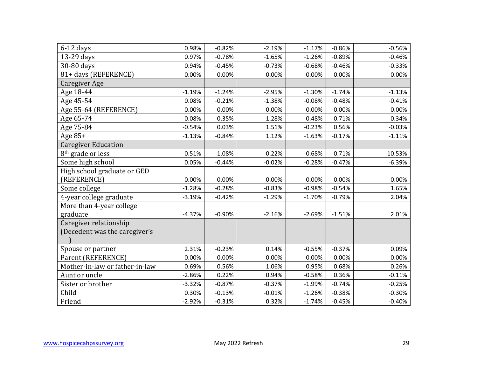| $6-12$ days                    | 0.98%    | $-0.82%$ | $-2.19%$ | $-1.17%$ | $-0.86%$ | $-0.56%$  |
|--------------------------------|----------|----------|----------|----------|----------|-----------|
| 13-29 days                     | 0.97%    | $-0.78%$ | $-1.65%$ | $-1.26%$ | $-0.89%$ | $-0.46%$  |
| 30-80 days                     | 0.94%    | $-0.45%$ | $-0.73%$ | $-0.68%$ | $-0.46%$ | $-0.33%$  |
| 81+ days (REFERENCE)           | 0.00%    | 0.00%    | 0.00%    | 0.00%    | 0.00%    | 0.00%     |
| Caregiver Age                  |          |          |          |          |          |           |
| Age 18-44                      | $-1.19%$ | $-1.24%$ | $-2.95%$ | $-1.30%$ | $-1.74%$ | $-1.13%$  |
| Age 45-54                      | 0.08%    | $-0.21%$ | $-1.38%$ | $-0.08%$ | $-0.48%$ | $-0.41%$  |
| Age 55-64 (REFERENCE)          | 0.00%    | 0.00%    | 0.00%    | 0.00%    | 0.00%    | 0.00%     |
| Age 65-74                      | $-0.08%$ | 0.35%    | 1.28%    | 0.48%    | 0.71%    | 0.34%     |
| Age 75-84                      | $-0.54%$ | 0.03%    | 1.51%    | $-0.23%$ | 0.56%    | $-0.03%$  |
| Age $85+$                      | $-1.13%$ | $-0.84%$ | 1.12%    | $-1.63%$ | $-0.17%$ | $-1.11%$  |
| <b>Caregiver Education</b>     |          |          |          |          |          |           |
| 8 <sup>th</sup> grade or less  | $-0.51%$ | $-1.08%$ | $-0.22%$ | $-0.68%$ | $-0.71%$ | $-10.53%$ |
| Some high school               | 0.05%    | $-0.44%$ | $-0.02%$ | $-0.28%$ | $-0.47%$ | $-6.39%$  |
| High school graduate or GED    |          |          |          |          |          |           |
| (REFERENCE)                    | 0.00%    | 0.00%    | 0.00%    | 0.00%    | 0.00%    | 0.00%     |
| Some college                   | $-1.28%$ | $-0.28%$ | $-0.83%$ | $-0.98%$ | $-0.54%$ | 1.65%     |
| 4-year college graduate        | $-3.19%$ | $-0.42%$ | $-1.29%$ | $-1.70%$ | $-0.79%$ | 2.04%     |
| More than 4-year college       |          |          |          |          |          |           |
| graduate                       | $-4.37%$ | $-0.90%$ | $-2.16%$ | $-2.69%$ | $-1.51%$ | 2.01%     |
| Caregiver relationship         |          |          |          |          |          |           |
| (Decedent was the caregiver's  |          |          |          |          |          |           |
|                                |          |          |          |          |          |           |
| Spouse or partner              | 2.31%    | $-0.23%$ | 0.14%    | $-0.55%$ | $-0.37%$ | 0.09%     |
| Parent (REFERENCE)             | 0.00%    | 0.00%    | 0.00%    | 0.00%    | 0.00%    | 0.00%     |
| Mother-in-law or father-in-law | 0.69%    | 0.56%    | 1.06%    | 0.95%    | 0.68%    | 0.26%     |
| Aunt or uncle                  | $-2.86%$ | 0.22%    | 0.94%    | $-0.58%$ | 0.36%    | $-0.11%$  |
| Sister or brother              | $-3.32%$ | $-0.87%$ | $-0.37%$ | $-1.99%$ | $-0.74%$ | $-0.25%$  |
| Child                          | 0.30%    | $-0.13%$ | $-0.01%$ | $-1.26%$ | $-0.38%$ | $-0.30%$  |
| Friend                         | $-2.92%$ | $-0.31%$ | 0.32%    | $-1.74%$ | $-0.45%$ | $-0.40%$  |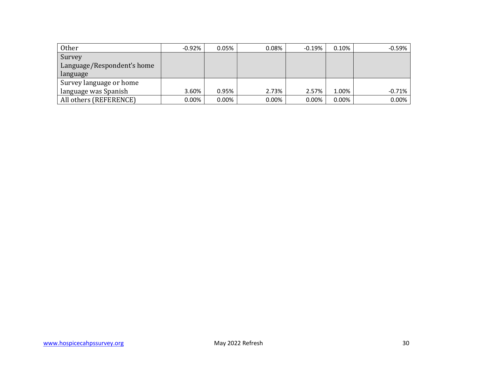| Other                      | $-0.92\%$ | 0.05%    | 0.08%    | $-0.19%$ | 0.10%    | $-0.59%$ |
|----------------------------|-----------|----------|----------|----------|----------|----------|
| Survey                     |           |          |          |          |          |          |
| Language/Respondent's home |           |          |          |          |          |          |
| language                   |           |          |          |          |          |          |
| Survey language or home    |           |          |          |          |          |          |
| language was Spanish       | 3.60%     | 0.95%    | 2.73%    | 2.57%    | 1.00%    | $-0.71%$ |
| All others (REFERENCE)     | $0.00\%$  | $0.00\%$ | $0.00\%$ | 0.00%    | $0.00\%$ | 0.00%    |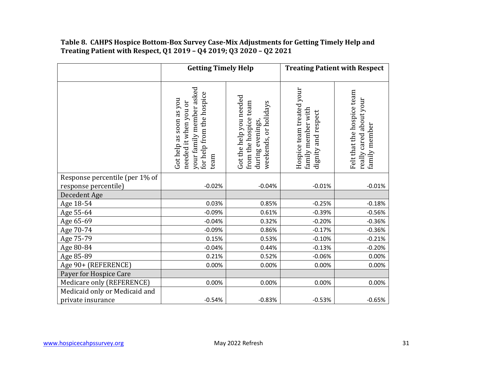#### **Treating Patient with Respect, Q1 2019 – Q4 2019; Q3 2020 – Q2 2021 Table 8. CAHPS Hospice Bottom-Box Survey Case-Mix Adjustments for Getting Timely Help and**

|                                | <b>Getting Timely Help</b>                                                                                        |                                                                                               |                                                                        | <b>Treating Patient with Respect</b>                                   |
|--------------------------------|-------------------------------------------------------------------------------------------------------------------|-----------------------------------------------------------------------------------------------|------------------------------------------------------------------------|------------------------------------------------------------------------|
|                                | your family member asked<br>for help from the hospice<br>Got help as soon as you<br>needed it when you or<br>team | Got the help you needed<br>from the hospice team<br>weekends, or holidays<br>during evenings, | Hospice team treated your<br>family member with<br>dignity and respect | Felt that the hospice team<br>really cared about your<br>family member |
| Response percentile (per 1% of |                                                                                                                   |                                                                                               |                                                                        |                                                                        |
| response percentile)           | $-0.02%$                                                                                                          | $-0.04%$                                                                                      | $-0.01%$                                                               | $-0.01%$                                                               |
| Decedent Age                   |                                                                                                                   |                                                                                               |                                                                        |                                                                        |
| Age 18-54                      | 0.03%                                                                                                             | 0.85%                                                                                         | $-0.25%$                                                               | $-0.18%$                                                               |
| Age 55-64                      | $-0.09%$<br>$-0.04%$                                                                                              | 0.61%                                                                                         | $-0.39%$                                                               | $-0.56%$<br>$-0.36%$                                                   |
| Age 65-69                      |                                                                                                                   | 0.32%                                                                                         | $-0.20%$                                                               |                                                                        |
| Age 70-74                      | $-0.09%$                                                                                                          | 0.86%                                                                                         | $-0.17%$                                                               | $-0.36%$                                                               |
| Age 75-79                      | 0.15%                                                                                                             | 0.53%                                                                                         | $-0.10%$                                                               | $-0.21%$                                                               |
| Age 80-84                      | $-0.04%$<br>0.21%                                                                                                 | 0.44%                                                                                         | $-0.13%$                                                               | $-0.20%$                                                               |
| Age 85-89                      |                                                                                                                   | 0.52%                                                                                         | $-0.06%$                                                               | 0.00%                                                                  |
| Age 90+ (REFERENCE)            | 0.00%                                                                                                             | 0.00%                                                                                         | 0.00%                                                                  | 0.00%                                                                  |
| Payer for Hospice Care         |                                                                                                                   |                                                                                               |                                                                        |                                                                        |
| Medicare only (REFERENCE)      | 0.00%                                                                                                             | 0.00%                                                                                         | 0.00%                                                                  | 0.00%                                                                  |
| Medicaid only or Medicaid and  |                                                                                                                   |                                                                                               |                                                                        |                                                                        |
| private insurance              | $-0.54%$                                                                                                          | $-0.83%$                                                                                      | $-0.53%$                                                               | $-0.65%$                                                               |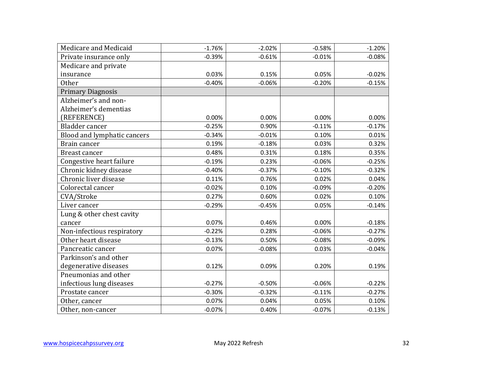| Medicare and Medicaid       | $-1.76%$ | $-2.02%$ | $-0.58%$ | $-1.20%$ |
|-----------------------------|----------|----------|----------|----------|
| Private insurance only      | $-0.39%$ | $-0.61%$ | $-0.01%$ | $-0.08%$ |
| Medicare and private        |          |          |          |          |
| insurance                   | 0.03%    | 0.15%    | 0.05%    | $-0.02%$ |
| <b>Other</b>                | $-0.40%$ | $-0.06%$ | $-0.20%$ | $-0.15%$ |
| <b>Primary Diagnosis</b>    |          |          |          |          |
| Alzheimer's and non-        |          |          |          |          |
| Alzheimer's dementias       |          |          |          |          |
| (REFERENCE)                 | 0.00%    | 0.00%    | 0.00%    | 0.00%    |
| Bladder cancer              | $-0.25%$ | 0.90%    | $-0.11%$ | $-0.17%$ |
| Blood and lymphatic cancers | $-0.34%$ | $-0.01%$ | 0.10%    | 0.01%    |
| Brain cancer                | 0.19%    | $-0.18%$ | 0.03%    | 0.32%    |
| Breast cancer               | 0.48%    | 0.31%    | 0.18%    | 0.35%    |
| Congestive heart failure    | $-0.19%$ | 0.23%    | $-0.06%$ | $-0.25%$ |
| Chronic kidney disease      | $-0.40%$ | $-0.37%$ | $-0.10%$ | $-0.32%$ |
| Chronic liver disease       | 0.11%    | 0.76%    | 0.02%    | 0.04%    |
| Colorectal cancer           | $-0.02%$ | 0.10%    | $-0.09%$ | $-0.20%$ |
| CVA/Stroke                  | 0.27%    | 0.60%    | 0.02%    | 0.10%    |
| Liver cancer                | $-0.29%$ | $-0.45%$ | 0.05%    | $-0.14%$ |
| Lung & other chest cavity   |          |          |          |          |
| cancer                      | 0.07%    | 0.46%    | 0.00%    | $-0.18%$ |
| Non-infectious respiratory  | $-0.22%$ | 0.28%    | $-0.06%$ | $-0.27%$ |
| Other heart disease         | $-0.13%$ | 0.50%    | $-0.08%$ | $-0.09%$ |
| Pancreatic cancer           | 0.07%    | $-0.08%$ | 0.03%    | $-0.04%$ |
| Parkinson's and other       |          |          |          |          |
| degenerative diseases       | 0.12%    | 0.09%    | 0.20%    | 0.19%    |
| Pneumonias and other        |          |          |          |          |
| infectious lung diseases    | $-0.27%$ | $-0.50%$ | $-0.06%$ | $-0.22%$ |
| Prostate cancer             | $-0.30%$ | $-0.32%$ | $-0.11%$ | $-0.27%$ |
| Other, cancer               | 0.07%    | 0.04%    | 0.05%    | 0.10%    |
| Other, non-cancer           | $-0.07%$ | 0.40%    | $-0.07%$ | $-0.13%$ |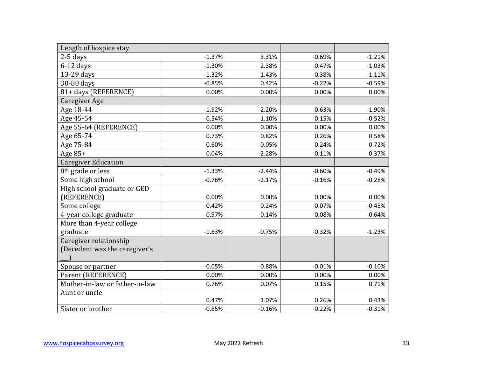| Length of hospice stay         |          |          |          |          |
|--------------------------------|----------|----------|----------|----------|
| $2-5$ days                     | $-1.37%$ | 3.31%    | $-0.69%$ | $-1.21%$ |
| $6-12$ days                    | $-1.30%$ | 2.38%    | $-0.47%$ | $-1.03%$ |
| 13-29 days                     | $-1.32%$ | 1.43%    | $-0.38%$ | $-1.11%$ |
| 30-80 days                     | $-0.85%$ | 0.42%    | $-0.22%$ | $-0.59%$ |
| 81+ days (REFERENCE)           | 0.00%    | 0.00%    | 0.00%    | 0.00%    |
| <b>Caregiver Age</b>           |          |          |          |          |
| Age 18-44                      | $-1.92%$ | $-2.20%$ | $-0.63%$ | $-1.90%$ |
| Age 45-54                      | $-0.54%$ | $-1.10%$ | $-0.15%$ | $-0.52%$ |
| Age 55-64 (REFERENCE)          | 0.00%    | 0.00%    | 0.00%    | 0.00%    |
| Age 65-74                      | 0.73%    | 0.82%    | 0.26%    | 0.58%    |
| Age 75-84                      | 0.60%    | 0.05%    | 0.24%    | 0.72%    |
| Age 85+                        | 0.04%    | $-2.28%$ | 0.11%    | 0.37%    |
| <b>Caregiver Education</b>     |          |          |          |          |
| 8 <sup>th</sup> grade or less  | $-1.33%$ | $-2.44%$ | $-0.60%$ | $-0.49%$ |
| Some high school               | $-0.76%$ | $-2.17%$ | $-0.16%$ | $-0.28%$ |
| High school graduate or GED    |          |          |          |          |
| (REFERENCE)                    | 0.00%    | 0.00%    | 0.00%    | 0.00%    |
| Some college                   | $-0.42%$ | 0.24%    | $-0.07%$ | $-0.45%$ |
| 4-year college graduate        | $-0.97%$ | $-0.14%$ | $-0.08%$ | $-0.64%$ |
| More than 4-year college       |          |          |          |          |
| graduate                       | $-1.83%$ | $-0.75%$ | $-0.32%$ | $-1.23%$ |
| Caregiver relationship         |          |          |          |          |
| (Decedent was the caregiver's  |          |          |          |          |
|                                |          |          |          |          |
| Spouse or partner              | $-0.05%$ | $-0.88%$ | $-0.01%$ | $-0.10%$ |
| Parent (REFERENCE)             | 0.00%    | 0.00%    | 0.00%    | 0.00%    |
| Mother-in-law or father-in-law | 0.76%    | 0.07%    | 0.15%    | 0.71%    |
| Aunt or uncle                  |          |          |          |          |
|                                | 0.47%    | 1.07%    | 0.26%    | 0.43%    |
| Sister or brother              | $-0.85%$ | $-0.16%$ | $-0.22%$ | $-0.31%$ |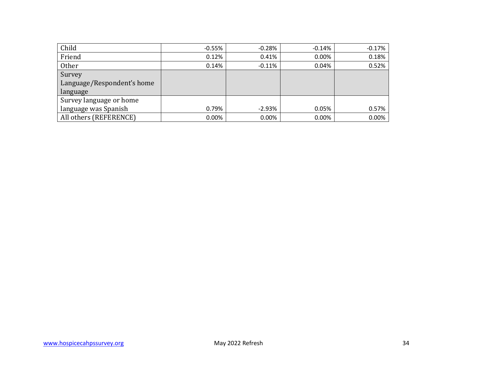| Child                      | $-0.55%$ | $-0.28%$  | $-0.14%$ | $-0.17%$ |
|----------------------------|----------|-----------|----------|----------|
| Friend                     | 0.12%    | 0.41%     | 0.00%    | 0.18%    |
| <b>Other</b>               | 0.14%    | $-0.11%$  | 0.04%    | 0.52%    |
| Survey                     |          |           |          |          |
| Language/Respondent's home |          |           |          |          |
| language                   |          |           |          |          |
| Survey language or home    |          |           |          |          |
| language was Spanish       | 0.79%    | $-2.93\%$ | 0.05%    | 0.57%    |
| All others (REFERENCE)     | $0.00\%$ | 0.00%     | 0.00%    | 0.00%    |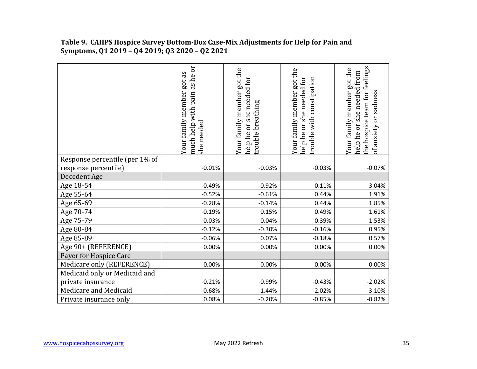|                                | as he or<br>Your family member got as<br>much help with pain<br>she needed | Your family member got the<br>help he or she needed for<br>rouble breathing | Your family member got the<br>help he or she needed for<br>trouble with constipation | the hospice team for feelings<br>Your family member got the<br>help he or she needed from<br>of anxiety or sadness |
|--------------------------------|----------------------------------------------------------------------------|-----------------------------------------------------------------------------|--------------------------------------------------------------------------------------|--------------------------------------------------------------------------------------------------------------------|
| Response percentile (per 1% of |                                                                            |                                                                             |                                                                                      |                                                                                                                    |
| response percentile)           | $-0.01%$                                                                   | $-0.03%$                                                                    | $-0.03%$                                                                             | $-0.07%$                                                                                                           |
| Decedent Age                   |                                                                            |                                                                             |                                                                                      |                                                                                                                    |
| Age 18-54                      | $-0.49%$                                                                   | $-0.92%$                                                                    | 0.11%                                                                                | 3.04%                                                                                                              |
| Age 55-64                      | $-0.52%$                                                                   | $-0.61%$                                                                    | 0.44%                                                                                | 1.91%                                                                                                              |
| Age 65-69                      | $-0.28%$                                                                   | $-0.14%$                                                                    | 0.44%                                                                                | 1.85%                                                                                                              |
| Age 70-74                      | $-0.19%$                                                                   | 0.15%                                                                       | 0.49%                                                                                | 1.61%                                                                                                              |
| Age 75-79                      | $-0.03%$                                                                   | 0.04%                                                                       | 0.39%                                                                                | 1.53%                                                                                                              |
| Age 80-84                      | $-0.12%$                                                                   | $-0.30%$                                                                    | $-0.16%$                                                                             | 0.95%                                                                                                              |
| Age 85-89                      | $-0.06%$                                                                   | 0.07%                                                                       | $-0.18%$                                                                             | 0.57%                                                                                                              |
| Age 90+ (REFERENCE)            | 0.00%                                                                      | 0.00%                                                                       | 0.00%                                                                                | 0.00%                                                                                                              |
| Payer for Hospice Care         |                                                                            |                                                                             |                                                                                      |                                                                                                                    |
| Medicare only (REFERENCE)      | 0.00%                                                                      | 0.00%                                                                       | 0.00%                                                                                | 0.00%                                                                                                              |
| Medicaid only or Medicaid and  |                                                                            |                                                                             |                                                                                      |                                                                                                                    |
| private insurance              | $-0.21%$                                                                   | $-0.99%$                                                                    | $-0.43%$                                                                             | $-2.02%$                                                                                                           |
| Medicare and Medicaid          | $-0.68%$                                                                   | $-1.44%$                                                                    | $-2.02%$                                                                             | $-3.10%$                                                                                                           |
| Private insurance only         | 0.08%                                                                      | $-0.20%$                                                                    | $-0.85%$                                                                             | $-0.82%$                                                                                                           |
|                                |                                                                            |                                                                             |                                                                                      |                                                                                                                    |

#### **Table 9. CAHPS Hospice Survey Bottom-Box Case-Mix Adjustments for Help for Pain and Symptoms, Q1 2019 – Q4 2019; Q3 2020 – Q2 2021**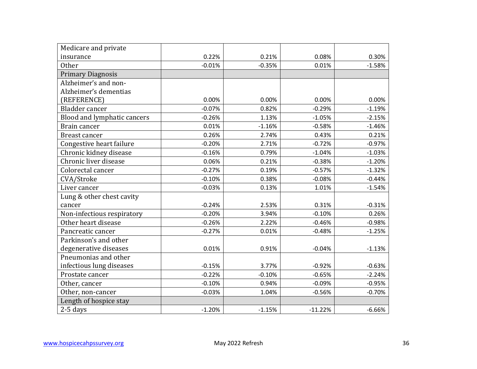| Medicare and private        |          |          |           |          |
|-----------------------------|----------|----------|-----------|----------|
| insurance                   | 0.22%    | 0.21%    | 0.08%     | 0.30%    |
| <b>Other</b>                | $-0.01%$ | $-0.35%$ | 0.01%     | $-1.58%$ |
| <b>Primary Diagnosis</b>    |          |          |           |          |
| Alzheimer's and non-        |          |          |           |          |
| Alzheimer's dementias       |          |          |           |          |
| (REFERENCE)                 | 0.00%    | 0.00%    | 0.00%     | 0.00%    |
| Bladder cancer              | $-0.07%$ | 0.82%    | $-0.29%$  | $-1.19%$ |
| Blood and lymphatic cancers | $-0.26%$ | 1.13%    | $-1.05%$  | $-2.15%$ |
| Brain cancer                | 0.01%    | $-1.16%$ | $-0.58%$  | $-1.46%$ |
| Breast cancer               | 0.26%    | 2.74%    | 0.43%     | 0.21%    |
| Congestive heart failure    | $-0.20%$ | 2.71%    | $-0.72%$  | $-0.97%$ |
| Chronic kidney disease      | $-0.16%$ | 0.79%    | $-1.04%$  | $-1.03%$ |
| Chronic liver disease       | 0.06%    | 0.21%    | $-0.38%$  | $-1.20%$ |
| Colorectal cancer           | $-0.27%$ | 0.19%    | $-0.57%$  | $-1.32%$ |
| CVA/Stroke                  | $-0.10%$ | 0.38%    | $-0.08%$  | $-0.44%$ |
| Liver cancer                | $-0.03%$ | 0.13%    | 1.01%     | $-1.54%$ |
| Lung & other chest cavity   |          |          |           |          |
| cancer                      | $-0.24%$ | 2.53%    | 0.31%     | $-0.31%$ |
| Non-infectious respiratory  | $-0.20%$ | 3.94%    | $-0.10%$  | 0.26%    |
| Other heart disease         | $-0.26%$ | 2.22%    | $-0.46%$  | $-0.98%$ |
| Pancreatic cancer           | $-0.27%$ | 0.01%    | $-0.48%$  | $-1.25%$ |
| Parkinson's and other       |          |          |           |          |
| degenerative diseases       | 0.01%    | 0.91%    | $-0.04%$  | $-1.13%$ |
| Pneumonias and other        |          |          |           |          |
| infectious lung diseases    | $-0.15%$ | 3.77%    | $-0.92%$  | $-0.63%$ |
| Prostate cancer             | $-0.22%$ | $-0.10%$ | $-0.65%$  | $-2.24%$ |
| Other, cancer               | $-0.10%$ | 0.94%    | $-0.09%$  | $-0.95%$ |
| Other, non-cancer           | $-0.03%$ | 1.04%    | $-0.56%$  | $-0.70%$ |
| Length of hospice stay      |          |          |           |          |
| $2-5$ days                  | $-1.20%$ | $-1.15%$ | $-11.22%$ | $-6.66%$ |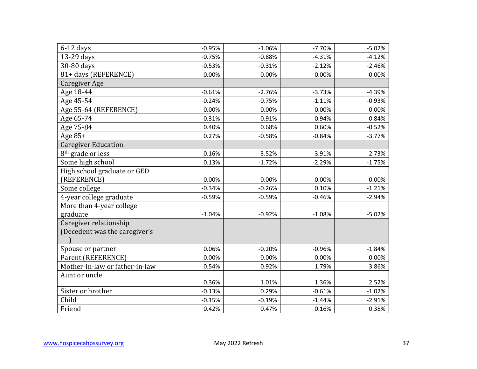| $6-12$ days                    | $-0.95%$ | $-1.06%$ | $-7.70%$ | $-5.02%$ |
|--------------------------------|----------|----------|----------|----------|
| 13-29 days                     | $-0.75%$ | $-0.88%$ | $-4.31%$ | $-4.12%$ |
| 30-80 days                     | $-0.53%$ | $-0.31%$ | $-2.12%$ | $-2.46%$ |
| 81+ days (REFERENCE)           | 0.00%    | 0.00%    | 0.00%    | 0.00%    |
| Caregiver Age                  |          |          |          |          |
| Age 18-44                      | $-0.61%$ | $-2.76%$ | $-3.73%$ | $-4.39%$ |
| Age 45-54                      | $-0.24%$ | $-0.75%$ | $-1.11%$ | $-0.93%$ |
| Age 55-64 (REFERENCE)          | 0.00%    | 0.00%    | 0.00%    | 0.00%    |
| Age 65-74                      | 0.31%    | 0.91%    | 0.94%    | 0.84%    |
| Age 75-84                      | 0.40%    | 0.68%    | 0.60%    | $-0.52%$ |
| Age 85+                        | 0.27%    | $-0.58%$ | $-0.84%$ | $-3.77%$ |
| <b>Caregiver Education</b>     |          |          |          |          |
| 8 <sup>th</sup> grade or less  | $-0.16%$ | $-3.52%$ | $-3.91%$ | $-2.73%$ |
| Some high school               | 0.13%    | $-1.72%$ | $-2.29%$ | $-1.75%$ |
| High school graduate or GED    |          |          |          |          |
| (REFERENCE)                    | 0.00%    | 0.00%    | 0.00%    | 0.00%    |
| Some college                   | $-0.34%$ | $-0.26%$ | 0.10%    | $-1.21%$ |
| 4-year college graduate        | $-0.59%$ | $-0.59%$ | $-0.46%$ | $-2.94%$ |
| More than 4-year college       |          |          |          |          |
| graduate                       | $-1.04%$ | $-0.92%$ | $-1.08%$ | $-5.02%$ |
| Caregiver relationship         |          |          |          |          |
| (Decedent was the caregiver's  |          |          |          |          |
|                                |          |          |          |          |
| Spouse or partner              | 0.06%    | $-0.20%$ | $-0.96%$ | $-1.84%$ |
| Parent (REFERENCE)             | 0.00%    | 0.00%    | 0.00%    | 0.00%    |
| Mother-in-law or father-in-law | 0.54%    | 0.92%    | 1.79%    | 3.86%    |
| Aunt or uncle                  |          |          |          |          |
|                                | 0.36%    | 1.01%    | 1.36%    | 2.52%    |
| Sister or brother              | $-0.13%$ | 0.29%    | $-0.61%$ | $-1.02%$ |
| Child                          | $-0.15%$ | $-0.19%$ | $-1.44%$ | $-2.91%$ |
| Friend                         | 0.42%    | 0.47%    | 0.16%    | 0.38%    |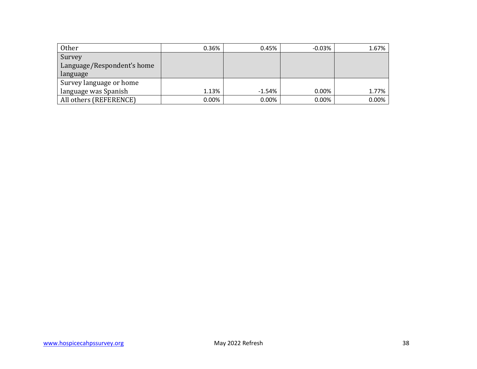| Other                      | 0.36%    | 0.45%    | $-0.03\%$ | 1.67% |
|----------------------------|----------|----------|-----------|-------|
| Survey                     |          |          |           |       |
| Language/Respondent's home |          |          |           |       |
| language                   |          |          |           |       |
| Survey language or home    |          |          |           |       |
| language was Spanish       | 1.13%    | $-1.54%$ | 0.00%     | 1.77% |
| All others (REFERENCE)     | $0.00\%$ | $0.00\%$ | 0.00%     | 0.00% |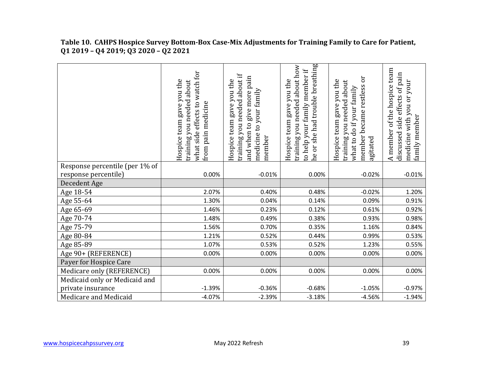**Table 10. CAHPS Hospice Survey Bottom-Box Case-Mix Adjustments for Training Family to Care for Patient, Q1 2019 – Q4 2019; Q3 2020 – Q2 2021** 

| Response percentile (per 1% of<br>response percentile)<br>0.00%<br>$-0.01%$<br>$-0.02%$<br>0.00%<br>Decedent Age<br>Age 18-54<br>2.07%<br>0.40%<br>0.48%<br>$-0.02%$<br>Age 55-64<br>1.30%<br>0.04%<br>0.14%<br>0.09%<br>Age 65-69<br>1.46%<br>0.23%<br>0.12%<br>0.61%<br>Age 70-74<br>1.48%<br>0.49%<br>0.38%<br>0.93%<br>Age 75-79<br>1.56%<br>0.70%<br>0.35%<br>1.16%<br>Age 80-84<br>1.21%<br>0.52%<br>0.44%<br>0.99%<br>Age 85-89<br>1.07%<br>0.53%<br>0.52%<br>1.23%<br>Age 90+ (REFERENCE)<br>0.00%<br>0.00%<br>0.00%<br>0.00%<br>Payer for Hospice Care<br>Medicare only (REFERENCE)<br>0.00%<br>0.00%<br>0.00%<br>0.00%<br>Medicaid only or Medicaid and<br>private insurance<br>$-1.39%$<br>$-0.36%$<br>$-0.68%$<br>$-1.05%$<br>Medicare and Medicaid<br>$-4.07%$<br>$-2.39%$<br>$-3.18%$<br>$-4.56%$ | what side effects to watch for<br>Hospice team gave you the<br>raining you needed about<br>from pain medicine | raining you needed about if<br>give more pain<br>Hospice team gave you the<br>medicine to your family<br>and when to<br>nember | ne or she had trouble breathing<br>training you needed about how<br>to help your family member if<br>Hospice team gave you the | member became restless or<br>Hospice team gave you the<br>training you needed about<br>what to do if your family<br>agitated | A member of the hospice team<br>discussed side effects of pain<br>medicine with you or your<br>family member |
|-----------------------------------------------------------------------------------------------------------------------------------------------------------------------------------------------------------------------------------------------------------------------------------------------------------------------------------------------------------------------------------------------------------------------------------------------------------------------------------------------------------------------------------------------------------------------------------------------------------------------------------------------------------------------------------------------------------------------------------------------------------------------------------------------------------------|---------------------------------------------------------------------------------------------------------------|--------------------------------------------------------------------------------------------------------------------------------|--------------------------------------------------------------------------------------------------------------------------------|------------------------------------------------------------------------------------------------------------------------------|--------------------------------------------------------------------------------------------------------------|
|                                                                                                                                                                                                                                                                                                                                                                                                                                                                                                                                                                                                                                                                                                                                                                                                                 |                                                                                                               |                                                                                                                                |                                                                                                                                |                                                                                                                              |                                                                                                              |
|                                                                                                                                                                                                                                                                                                                                                                                                                                                                                                                                                                                                                                                                                                                                                                                                                 |                                                                                                               |                                                                                                                                |                                                                                                                                |                                                                                                                              | $-0.01%$                                                                                                     |
|                                                                                                                                                                                                                                                                                                                                                                                                                                                                                                                                                                                                                                                                                                                                                                                                                 |                                                                                                               |                                                                                                                                |                                                                                                                                |                                                                                                                              |                                                                                                              |
|                                                                                                                                                                                                                                                                                                                                                                                                                                                                                                                                                                                                                                                                                                                                                                                                                 |                                                                                                               |                                                                                                                                |                                                                                                                                |                                                                                                                              | 1.20%                                                                                                        |
|                                                                                                                                                                                                                                                                                                                                                                                                                                                                                                                                                                                                                                                                                                                                                                                                                 |                                                                                                               |                                                                                                                                |                                                                                                                                |                                                                                                                              | 0.91%                                                                                                        |
|                                                                                                                                                                                                                                                                                                                                                                                                                                                                                                                                                                                                                                                                                                                                                                                                                 |                                                                                                               |                                                                                                                                |                                                                                                                                |                                                                                                                              | 0.92%                                                                                                        |
|                                                                                                                                                                                                                                                                                                                                                                                                                                                                                                                                                                                                                                                                                                                                                                                                                 |                                                                                                               |                                                                                                                                |                                                                                                                                |                                                                                                                              | 0.98%                                                                                                        |
|                                                                                                                                                                                                                                                                                                                                                                                                                                                                                                                                                                                                                                                                                                                                                                                                                 |                                                                                                               |                                                                                                                                |                                                                                                                                |                                                                                                                              | 0.84%                                                                                                        |
|                                                                                                                                                                                                                                                                                                                                                                                                                                                                                                                                                                                                                                                                                                                                                                                                                 |                                                                                                               |                                                                                                                                |                                                                                                                                |                                                                                                                              | 0.53%                                                                                                        |
|                                                                                                                                                                                                                                                                                                                                                                                                                                                                                                                                                                                                                                                                                                                                                                                                                 |                                                                                                               |                                                                                                                                |                                                                                                                                |                                                                                                                              | 0.55%                                                                                                        |
|                                                                                                                                                                                                                                                                                                                                                                                                                                                                                                                                                                                                                                                                                                                                                                                                                 |                                                                                                               |                                                                                                                                |                                                                                                                                |                                                                                                                              | 0.00%                                                                                                        |
|                                                                                                                                                                                                                                                                                                                                                                                                                                                                                                                                                                                                                                                                                                                                                                                                                 |                                                                                                               |                                                                                                                                |                                                                                                                                |                                                                                                                              |                                                                                                              |
|                                                                                                                                                                                                                                                                                                                                                                                                                                                                                                                                                                                                                                                                                                                                                                                                                 |                                                                                                               |                                                                                                                                |                                                                                                                                |                                                                                                                              | 0.00%                                                                                                        |
|                                                                                                                                                                                                                                                                                                                                                                                                                                                                                                                                                                                                                                                                                                                                                                                                                 |                                                                                                               |                                                                                                                                |                                                                                                                                |                                                                                                                              |                                                                                                              |
|                                                                                                                                                                                                                                                                                                                                                                                                                                                                                                                                                                                                                                                                                                                                                                                                                 |                                                                                                               |                                                                                                                                |                                                                                                                                |                                                                                                                              | $-0.97%$                                                                                                     |
|                                                                                                                                                                                                                                                                                                                                                                                                                                                                                                                                                                                                                                                                                                                                                                                                                 |                                                                                                               |                                                                                                                                |                                                                                                                                |                                                                                                                              | $-1.94%$                                                                                                     |
|                                                                                                                                                                                                                                                                                                                                                                                                                                                                                                                                                                                                                                                                                                                                                                                                                 |                                                                                                               |                                                                                                                                |                                                                                                                                |                                                                                                                              |                                                                                                              |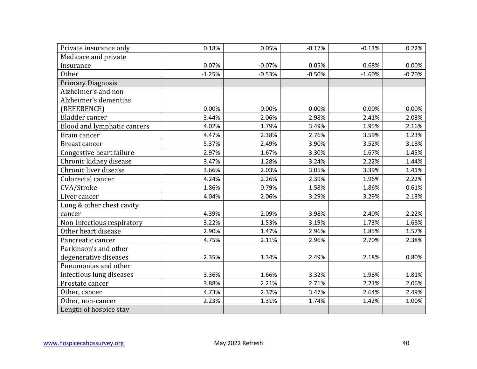| Private insurance only      | 0.18%    | 0.05%    | $-0.17%$ | $-0.13%$ | 0.22%    |
|-----------------------------|----------|----------|----------|----------|----------|
| Medicare and private        |          |          |          |          |          |
| insurance                   | 0.07%    | $-0.07%$ | 0.05%    | 0.68%    | 0.00%    |
| <b>Other</b>                | $-1.25%$ | $-0.53%$ | $-0.50%$ | $-1.60%$ | $-0.70%$ |
| <b>Primary Diagnosis</b>    |          |          |          |          |          |
| Alzheimer's and non-        |          |          |          |          |          |
| Alzheimer's dementias       |          |          |          |          |          |
| (REFERENCE)                 | 0.00%    | 0.00%    | 0.00%    | 0.00%    | 0.00%    |
| Bladder cancer              | 3.44%    | 2.06%    | 2.98%    | 2.41%    | 2.03%    |
| Blood and lymphatic cancers | 4.02%    | 1.79%    | 3.49%    | 1.95%    | 2.16%    |
| Brain cancer                | 4.47%    | 2.38%    | 2.76%    | 3.59%    | 1.23%    |
| <b>Breast cancer</b>        | 5.37%    | 2.49%    | 3.90%    | 3.52%    | 3.18%    |
| Congestive heart failure    | 2.97%    | 1.67%    | 3.30%    | 1.67%    | 1.45%    |
| Chronic kidney disease      | 3.47%    | 1.28%    | 3.24%    | 2.22%    | 1.44%    |
| Chronic liver disease       | 3.66%    | 2.03%    | 3.05%    | 3.39%    | 1.41%    |
| Colorectal cancer           | 4.24%    | 2.26%    | 2.39%    | 1.96%    | 2.22%    |
| CVA/Stroke                  | 1.86%    | 0.79%    | 1.58%    | 1.86%    | 0.61%    |
| Liver cancer                | 4.04%    | 2.06%    | 3.29%    | 3.29%    | 2.13%    |
| Lung & other chest cavity   |          |          |          |          |          |
| cancer                      | 4.39%    | 2.09%    | 3.98%    | 2.40%    | 2.22%    |
| Non-infectious respiratory  | 3.22%    | 1.53%    | 3.19%    | 1.73%    | 1.68%    |
| Other heart disease         | 2.90%    | 1.47%    | 2.96%    | 1.85%    | 1.57%    |
| Pancreatic cancer           | 4.75%    | 2.11%    | 2.96%    | 2.70%    | 2.38%    |
| Parkinson's and other       |          |          |          |          |          |
| degenerative diseases       | 2.35%    | 1.34%    | 2.49%    | 2.18%    | 0.80%    |
| Pneumonias and other        |          |          |          |          |          |
| infectious lung diseases    | 3.36%    | 1.66%    | 3.32%    | 1.98%    | 1.81%    |
| Prostate cancer             | 3.88%    | 2.21%    | 2.71%    | 2.21%    | 2.06%    |
| Other, cancer               | 4.73%    | 2.37%    | 3.47%    | 2.64%    | 2.49%    |
| Other, non-cancer           | 2.23%    | 1.31%    | 1.74%    | 1.42%    | 1.00%    |
| Length of hospice stay      |          |          |          |          |          |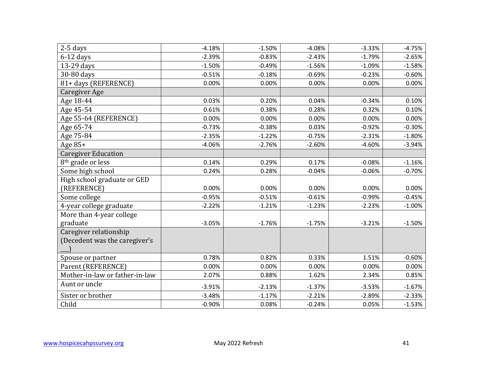| $2-5$ days                     | $-4.18%$ | $-1.50%$ | $-4.08%$ | $-3.33%$ | $-4.75%$ |
|--------------------------------|----------|----------|----------|----------|----------|
| $6-12$ days                    | $-2.39%$ | $-0.83%$ | $-2.43%$ | $-1.79%$ | $-2.65%$ |
| 13-29 days                     | $-1.50%$ | $-0.49%$ | $-1.56%$ | $-1.09%$ | $-1.58%$ |
| 30-80 days                     | $-0.51%$ | $-0.18%$ | $-0.69%$ | $-0.23%$ | $-0.60%$ |
| 81+ days (REFERENCE)           | 0.00%    | 0.00%    | 0.00%    | 0.00%    | 0.00%    |
| Caregiver Age                  |          |          |          |          |          |
| Age 18-44                      | 0.03%    | 0.20%    | 0.04%    | $-0.34%$ | 0.10%    |
| Age 45-54                      | 0.61%    | 0.38%    | 0.28%    | 0.32%    | 0.10%    |
| Age 55-64 (REFERENCE)          | 0.00%    | 0.00%    | 0.00%    | 0.00%    | 0.00%    |
| Age 65-74                      | $-0.73%$ | $-0.38%$ | 0.03%    | $-0.92%$ | $-0.30%$ |
| Age 75-84                      | $-2.35%$ | $-1.22%$ | $-0.75%$ | $-2.31%$ | $-1.80%$ |
| Age 85+                        | $-4.06%$ | $-2.76%$ | $-2.60%$ | $-4.60%$ | $-3.94%$ |
| <b>Caregiver Education</b>     |          |          |          |          |          |
| 8 <sup>th</sup> grade or less  | 0.14%    | 0.29%    | 0.17%    | $-0.08%$ | $-1.16%$ |
| Some high school               | 0.24%    | 0.28%    | $-0.04%$ | $-0.06%$ | $-0.70%$ |
| High school graduate or GED    |          |          |          |          |          |
| (REFERENCE)                    | 0.00%    | 0.00%    | 0.00%    | 0.00%    | 0.00%    |
| Some college                   | $-0.95%$ | $-0.51%$ | $-0.61%$ | $-0.99%$ | $-0.45%$ |
| 4-year college graduate        | $-2.22%$ | $-1.21%$ | $-1.23%$ | $-2.23%$ | $-1.00%$ |
| More than 4-year college       |          |          |          |          |          |
| graduate                       | $-3.05%$ | $-1.76%$ | $-1.75%$ | $-3.21%$ | $-1.50%$ |
| Caregiver relationship         |          |          |          |          |          |
| (Decedent was the caregiver's  |          |          |          |          |          |
|                                |          |          |          |          |          |
| Spouse or partner              | 0.78%    | 0.82%    | 0.33%    | 1.51%    | $-0.60%$ |
| Parent (REFERENCE)             | 0.00%    | 0.00%    | 0.00%    | 0.00%    | 0.00%    |
| Mother-in-law or father-in-law | 2.07%    | 0.88%    | 1.62%    | 2.34%    | 0.85%    |
| Aunt or uncle                  | $-3.91%$ | $-2.13%$ | $-1.37%$ | $-3.53%$ | $-1.67%$ |
| Sister or brother              | $-3.48%$ | $-1.17%$ | $-2.21%$ | $-2.89%$ | $-2.33%$ |
| Child                          | $-0.90%$ | 0.08%    | $-0.24%$ | 0.05%    | $-1.53%$ |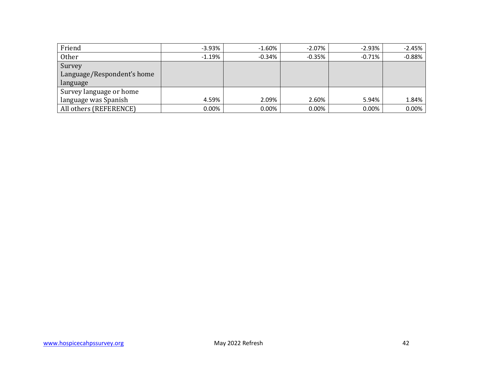| Friend                     | $-3.93%$ | $-1.60%$ | $-2.07\%$ | -2.93%    | $-2.45%$ |
|----------------------------|----------|----------|-----------|-----------|----------|
| Other                      | $-1.19%$ | $-0.34%$ | $-0.35%$  | $-0.71\%$ | $-0.88%$ |
| Survey                     |          |          |           |           |          |
| Language/Respondent's home |          |          |           |           |          |
| language                   |          |          |           |           |          |
| Survey language or home    |          |          |           |           |          |
| language was Spanish       | 4.59%    | 2.09%    | 2.60%     | 5.94%     | 1.84%    |
| All others (REFERENCE)     | 0.00%    | 0.00%    | 0.00%     | 0.00%     | $0.00\%$ |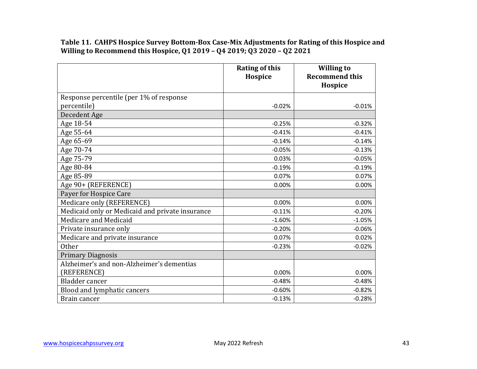**Table 11. CAHPS Hospice Survey Bottom-Box Case-Mix Adjustments for Rating of this Hospice and Willing to Recommend this Hospice, Q1 2019 – Q4 2019; Q3 2020 – Q2 2021** 

|                                                 | <b>Rating of this</b><br>Hospice | <b>Willing to</b><br><b>Recommend this</b> |
|-------------------------------------------------|----------------------------------|--------------------------------------------|
|                                                 |                                  | Hospice                                    |
| Response percentile (per 1% of response         |                                  |                                            |
| percentile)                                     | $-0.02%$                         | $-0.01%$                                   |
| Decedent Age                                    |                                  |                                            |
| Age 18-54                                       | $-0.25%$                         | $-0.32%$                                   |
| Age 55-64                                       | $-0.41%$                         | $-0.41%$                                   |
| Age 65-69                                       | $-0.14%$                         | $-0.14%$                                   |
| Age 70-74                                       | $-0.05%$                         | $-0.13%$                                   |
| Age 75-79                                       | 0.03%                            | $-0.05%$                                   |
| Age 80-84                                       | $-0.19%$                         | $-0.19%$                                   |
| Age 85-89                                       | 0.07%                            | 0.07%                                      |
| Age 90+ (REFERENCE)                             | 0.00%                            | 0.00%                                      |
| Payer for Hospice Care                          |                                  |                                            |
| Medicare only (REFERENCE)                       | 0.00%                            | 0.00%                                      |
| Medicaid only or Medicaid and private insurance | $-0.11%$                         | $-0.20%$                                   |
| Medicare and Medicaid                           | $-1.60%$                         | $-1.05%$                                   |
| Private insurance only                          | $-0.20%$                         | $-0.06%$                                   |
| Medicare and private insurance                  | 0.07%                            | 0.02%                                      |
| <b>Other</b>                                    | $-0.23%$                         | $-0.02%$                                   |
| <b>Primary Diagnosis</b>                        |                                  |                                            |
| Alzheimer's and non-Alzheimer's dementias       |                                  |                                            |
| (REFERENCE)                                     | 0.00%                            | 0.00%                                      |
| Bladder cancer                                  | $-0.48%$                         | $-0.48%$                                   |
| Blood and lymphatic cancers                     | $-0.60%$                         | $-0.82%$                                   |
| Brain cancer                                    | $-0.13%$                         | $-0.28%$                                   |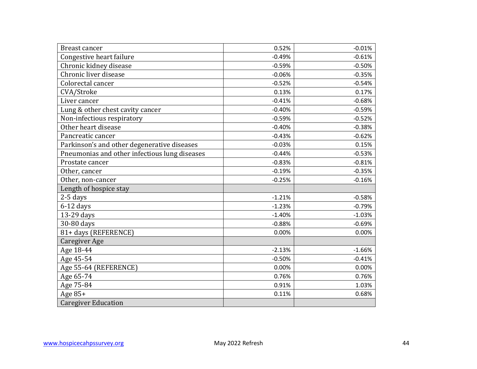| <b>Breast cancer</b>                          | 0.52%    | $-0.01%$ |
|-----------------------------------------------|----------|----------|
| Congestive heart failure                      | $-0.49%$ | $-0.61%$ |
| Chronic kidney disease                        | $-0.59%$ | $-0.50%$ |
| Chronic liver disease                         | $-0.06%$ | $-0.35%$ |
| Colorectal cancer                             | $-0.52%$ | $-0.54%$ |
| CVA/Stroke                                    | 0.13%    | 0.17%    |
| Liver cancer                                  | $-0.41%$ | $-0.68%$ |
| Lung & other chest cavity cancer              | $-0.40%$ | $-0.59%$ |
| Non-infectious respiratory                    | $-0.59%$ | $-0.52%$ |
| Other heart disease                           | $-0.40%$ | $-0.38%$ |
| Pancreatic cancer                             | $-0.43%$ | $-0.62%$ |
| Parkinson's and other degenerative diseases   | $-0.03%$ | 0.15%    |
| Pneumonias and other infectious lung diseases | $-0.44%$ | $-0.53%$ |
| Prostate cancer                               | $-0.83%$ | $-0.81%$ |
| Other, cancer                                 | $-0.19%$ | $-0.35%$ |
| Other, non-cancer                             | $-0.25%$ | $-0.16%$ |
| Length of hospice stay                        |          |          |
| 2-5 days                                      | $-1.21%$ | $-0.58%$ |
| $6-12$ days                                   | $-1.23%$ | $-0.79%$ |
| 13-29 days                                    | $-1.40%$ | $-1.03%$ |
| 30-80 days                                    | $-0.88%$ | $-0.69%$ |
| 81+ days (REFERENCE)                          | 0.00%    | 0.00%    |
| <b>Caregiver Age</b>                          |          |          |
| Age 18-44                                     | $-2.13%$ | $-1.66%$ |
| Age 45-54                                     | $-0.50%$ | $-0.41%$ |
| Age 55-64 (REFERENCE)                         | 0.00%    | 0.00%    |
| Age 65-74                                     | 0.76%    | 0.76%    |
| Age 75-84                                     | 0.91%    | 1.03%    |
| Age $85+$                                     | 0.11%    | 0.68%    |
| <b>Caregiver Education</b>                    |          |          |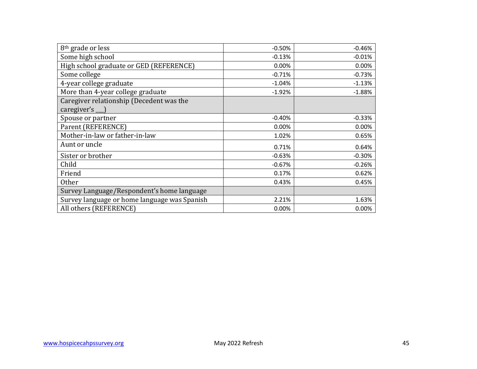| 8 <sup>th</sup> grade or less                                  | $-0.50%$ | $-0.46%$ |
|----------------------------------------------------------------|----------|----------|
| Some high school                                               | $-0.13%$ | $-0.01%$ |
| High school graduate or GED (REFERENCE)                        | 0.00%    | 0.00%    |
| Some college                                                   | $-0.71%$ | $-0.73%$ |
| 4-year college graduate                                        | $-1.04%$ | $-1.13%$ |
| More than 4-year college graduate                              | $-1.92%$ | $-1.88%$ |
| Caregiver relationship (Decedent was the<br>caregiver's $\Box$ |          |          |
| Spouse or partner                                              | $-0.40%$ | $-0.33%$ |
| Parent (REFERENCE)                                             | 0.00%    | 0.00%    |
| Mother-in-law or father-in-law                                 | 1.02%    | 0.65%    |
| Aunt or uncle                                                  | 0.71%    | 0.64%    |
| Sister or brother                                              | $-0.63%$ | $-0.30%$ |
| Child                                                          | $-0.67%$ | $-0.26%$ |
| Friend                                                         | 0.17%    | 0.62%    |
| Other                                                          | 0.43%    | 0.45%    |
| Survey Language/Respondent's home language                     |          |          |
| Survey language or home language was Spanish                   | 2.21%    | 1.63%    |
| All others (REFERENCE)                                         | 0.00%    | 0.00%    |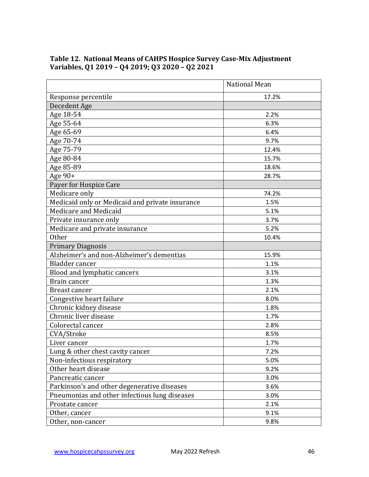|                                                 | National Mean |
|-------------------------------------------------|---------------|
| Response percentile                             | 17.2%         |
| Decedent Age                                    |               |
| Age 18-54                                       | 2.2%          |
| Age 55-64                                       | 6.3%          |
| Age 65-69                                       | 6.4%          |
| Age 70-74                                       | 9.7%          |
| Age 75-79                                       | 12.4%         |
| Age 80-84                                       | 15.7%         |
| Age 85-89                                       | 18.6%         |
| Age 90+                                         | 28.7%         |
| Payer for Hospice Care                          |               |
| Medicare only                                   | 74.2%         |
| Medicaid only or Medicaid and private insurance | 1.5%          |
| Medicare and Medicaid                           | 5.1%          |
| Private insurance only                          | 3.7%          |
| Medicare and private insurance                  | 5.2%          |
| <b>Other</b>                                    | 10.4%         |
| <b>Primary Diagnosis</b>                        |               |
| Alzheimer's and non-Alzheimer's dementias       | 15.9%         |
| Bladder cancer                                  | 1.1%          |
| Blood and lymphatic cancers                     | 3.1%          |
| Brain cancer                                    | 1.3%          |
| Breast cancer                                   | 2.1%          |
| Congestive heart failure                        | 8.0%          |
| Chronic kidney disease                          | 1.8%          |
| Chronic liver disease                           | 1.7%          |
| Colorectal cancer                               | 2.8%          |
| CVA/Stroke                                      | 8.5%          |
| Liver cancer                                    | 1.7%          |
| Lung & other chest cavity cancer                | 7.2%          |
| Non-infectious respiratory                      | 5.0%          |
| Other heart disease                             | 9.2%          |
| Pancreatic cancer                               | 3.0%          |
| Parkinson's and other degenerative diseases     | 3.6%          |
| Pneumonias and other infectious lung diseases   | 3.0%          |
| Prostate cancer                                 | 2.1%          |
| Other, cancer                                   | 9.1%          |
| Other, non-cancer                               | 9.8%          |

#### **Table 12. National Means of CAHPS Hospice Survey Case-Mix Adjustment Variables, Q1 2019 – Q4 2019; Q3 2020 – Q2 2021**